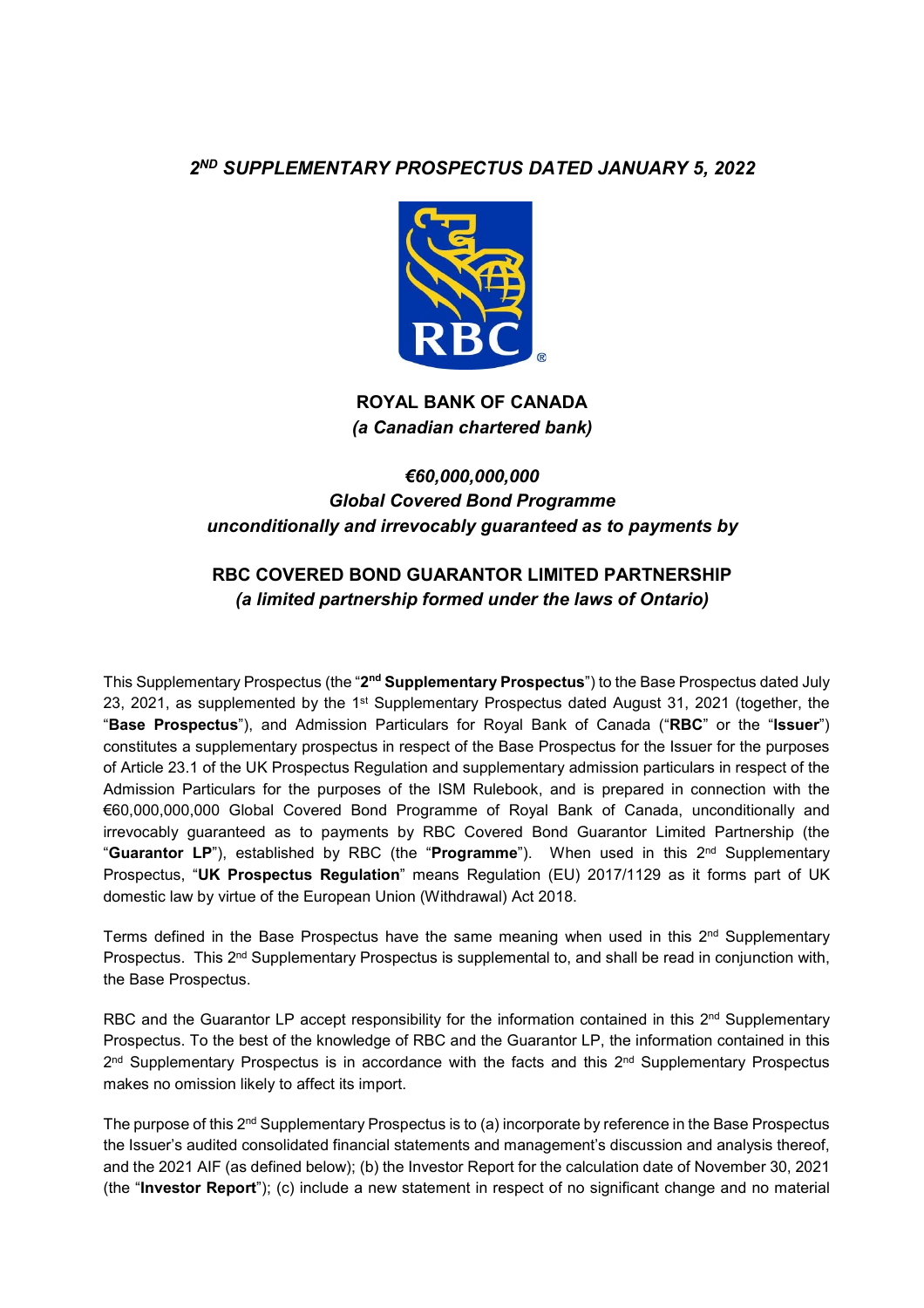# *2ND SUPPLEMENTARY PROSPECTUS DATED JANUARY 5, 2022*



**ROYAL BANK OF CANADA**  *(a Canadian chartered bank)* 

# *€60,000,000,000 Global Covered Bond Programme unconditionally and irrevocably guaranteed as to payments by*

# **RBC COVERED BOND GUARANTOR LIMITED PARTNERSHIP**  *(a limited partnership formed under the laws of Ontario)*

This Supplementary Prospectus (the "**2nd Supplementary Prospectus**") to the Base Prospectus dated July 23, 2021, as supplemented by the 1<sup>st</sup> Supplementary Prospectus dated August 31, 2021 (together, the "**Base Prospectus**"), and Admission Particulars for Royal Bank of Canada ("**RBC**" or the "**Issuer**") constitutes a supplementary prospectus in respect of the Base Prospectus for the Issuer for the purposes of Article 23.1 of the UK Prospectus Regulation and supplementary admission particulars in respect of the Admission Particulars for the purposes of the ISM Rulebook, and is prepared in connection with the €60,000,000,000 Global Covered Bond Programme of Royal Bank of Canada, unconditionally and irrevocably guaranteed as to payments by RBC Covered Bond Guarantor Limited Partnership (the "**Guarantor LP**"), established by RBC (the "**Programme**"). When used in this 2nd Supplementary Prospectus, "**UK Prospectus Regulation**" means Regulation (EU) 2017/1129 as it forms part of UK domestic law by virtue of the European Union (Withdrawal) Act 2018.

Terms defined in the Base Prospectus have the same meaning when used in this  $2<sup>nd</sup>$  Supplementary Prospectus. This 2<sup>nd</sup> Supplementary Prospectus is supplemental to, and shall be read in conjunction with, the Base Prospectus.

RBC and the Guarantor LP accept responsibility for the information contained in this 2<sup>nd</sup> Supplementary Prospectus. To the best of the knowledge of RBC and the Guarantor LP, the information contained in this  $2<sup>nd</sup>$  Supplementary Prospectus is in accordance with the facts and this  $2<sup>nd</sup>$  Supplementary Prospectus makes no omission likely to affect its import.

The purpose of this 2<sup>nd</sup> Supplementary Prospectus is to (a) incorporate by reference in the Base Prospectus the Issuer's audited consolidated financial statements and management's discussion and analysis thereof, and the 2021 AIF (as defined below); (b) the Investor Report for the calculation date of November 30, 2021 (the "**Investor Report**"); (c) include a new statement in respect of no significant change and no material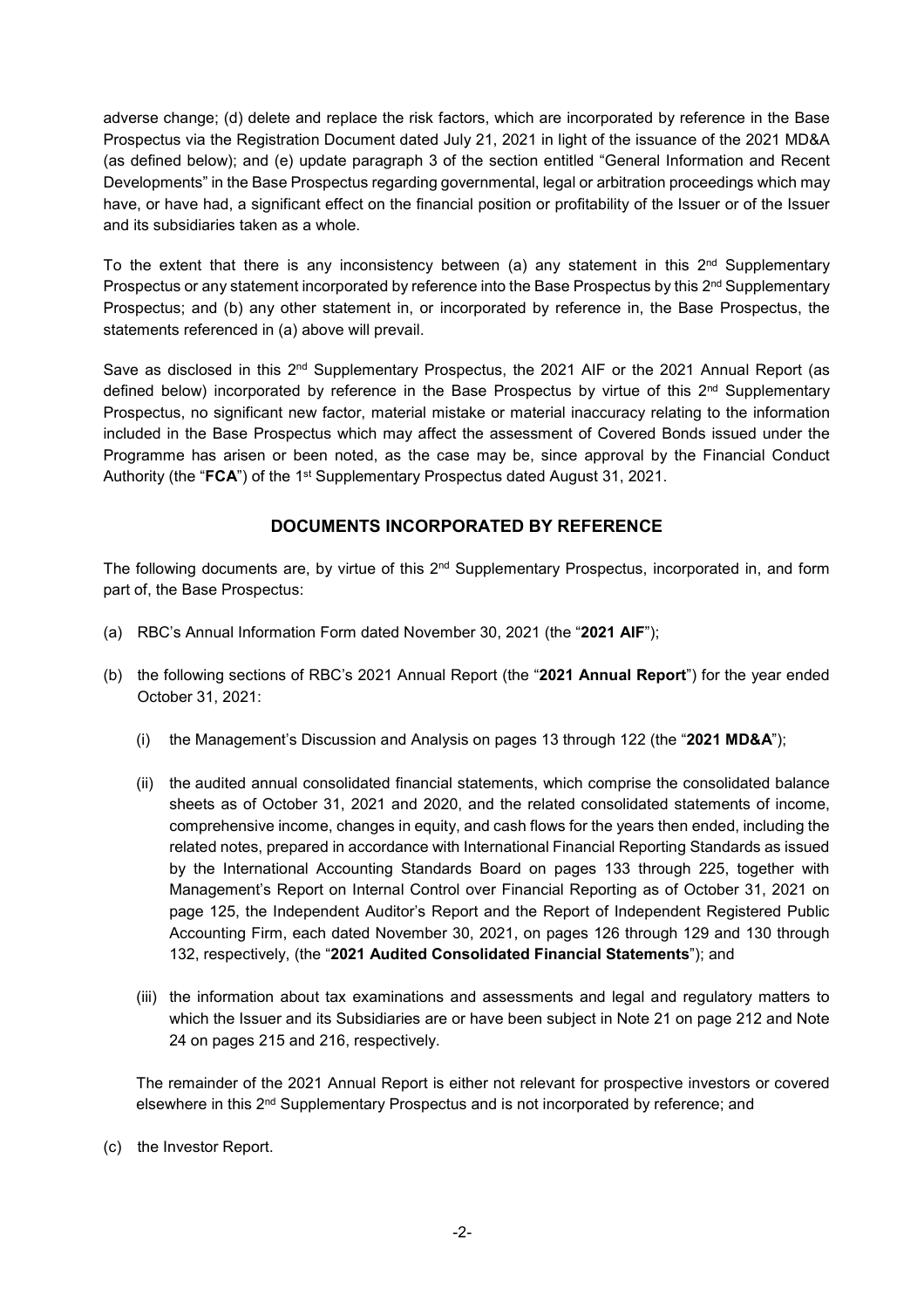adverse change; (d) delete and replace the risk factors, which are incorporated by reference in the Base Prospectus via the Registration Document dated July 21, 2021 in light of the issuance of the 2021 MD&A (as defined below); and (e) update paragraph 3 of the section entitled "General Information and Recent Developments" in the Base Prospectus regarding governmental, legal or arbitration proceedings which may have, or have had, a significant effect on the financial position or profitability of the Issuer or of the Issuer and its subsidiaries taken as a whole.

To the extent that there is any inconsistency between (a) any statement in this  $2<sup>nd</sup>$  Supplementary Prospectus or any statement incorporated by reference into the Base Prospectus by this  $2<sup>nd</sup>$  Supplementary Prospectus; and (b) any other statement in, or incorporated by reference in, the Base Prospectus, the statements referenced in (a) above will prevail.

Save as disclosed in this 2<sup>nd</sup> Supplementary Prospectus, the 2021 AIF or the 2021 Annual Report (as defined below) incorporated by reference in the Base Prospectus by virtue of this 2<sup>nd</sup> Supplementary Prospectus, no significant new factor, material mistake or material inaccuracy relating to the information included in the Base Prospectus which may affect the assessment of Covered Bonds issued under the Programme has arisen or been noted, as the case may be, since approval by the Financial Conduct Authority (the "FCA") of the 1<sup>st</sup> Supplementary Prospectus dated August 31, 2021.

# **DOCUMENTS INCORPORATED BY REFERENCE**

The following documents are, by virtue of this 2<sup>nd</sup> Supplementary Prospectus, incorporated in, and form part of, the Base Prospectus:

- (a) RBC's Annual Information Form dated November 30, 2021 (the "**2021 AIF**");
- (b) the following sections of RBC's 2021 Annual Report (the "**2021 Annual Report**") for the year ended October 31, 2021:
	- (i) the Management's Discussion and Analysis on pages 13 through 122 (the "**2021 MD&A**");
	- (ii) the audited annual consolidated financial statements, which comprise the consolidated balance sheets as of October 31, 2021 and 2020, and the related consolidated statements of income, comprehensive income, changes in equity, and cash flows for the years then ended, including the related notes, prepared in accordance with International Financial Reporting Standards as issued by the International Accounting Standards Board on pages 133 through 225, together with Management's Report on Internal Control over Financial Reporting as of October 31, 2021 on page 125, the Independent Auditor's Report and the Report of Independent Registered Public Accounting Firm, each dated November 30, 2021, on pages 126 through 129 and 130 through 132, respectively, (the "**2021 Audited Consolidated Financial Statements**"); and
	- (iii) the information about tax examinations and assessments and legal and regulatory matters to which the Issuer and its Subsidiaries are or have been subject in Note 21 on page 212 and Note 24 on pages 215 and 216, respectively.

The remainder of the 2021 Annual Report is either not relevant for prospective investors or covered elsewhere in this 2nd Supplementary Prospectus and is not incorporated by reference; and

(c) the Investor Report.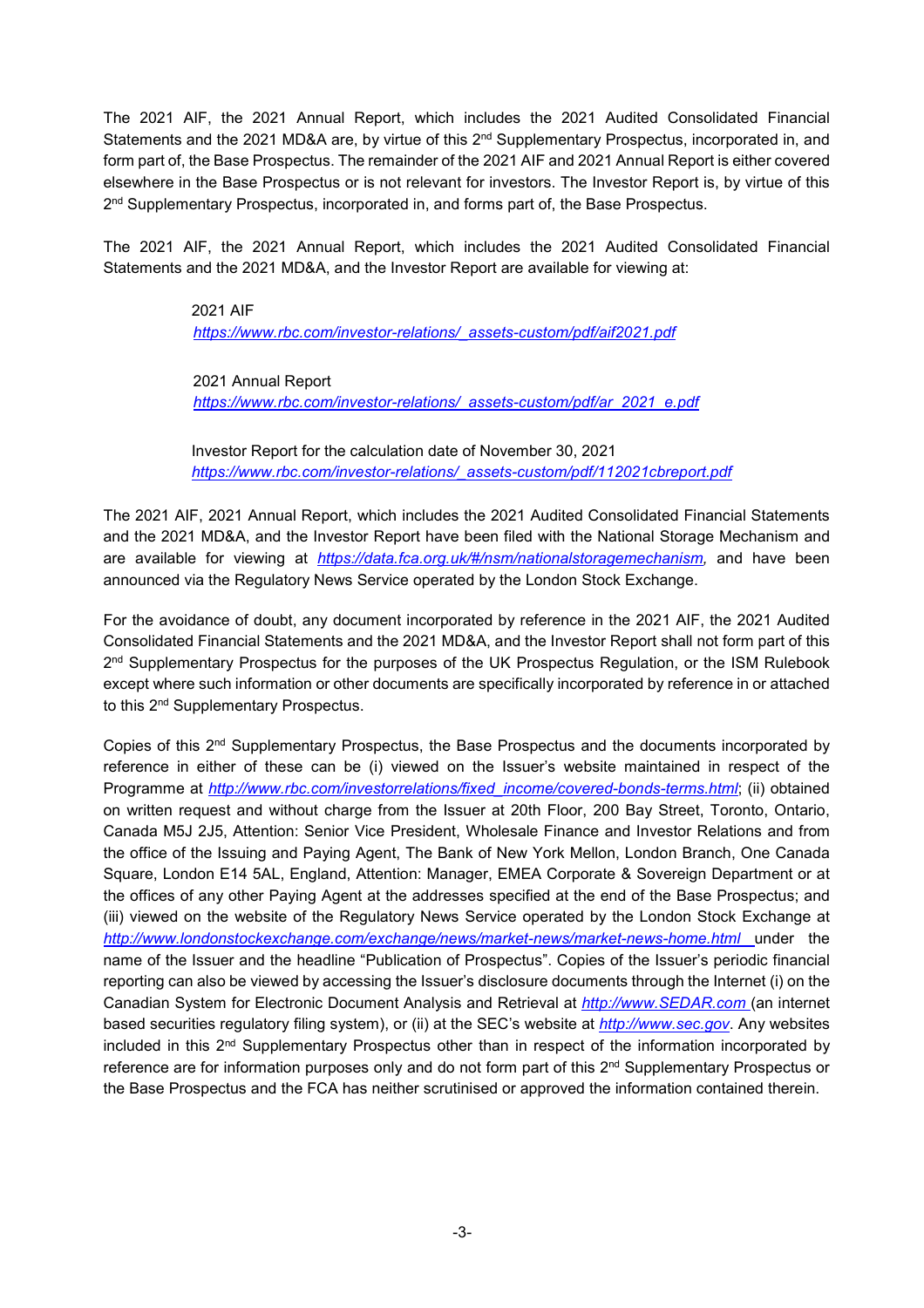The 2021 AIF, the 2021 Annual Report, which includes the 2021 Audited Consolidated Financial Statements and the 2021 MD&A are, by virtue of this 2<sup>nd</sup> Supplementary Prospectus, incorporated in, and form part of, the Base Prospectus. The remainder of the 2021 AIF and 2021 Annual Report is either covered elsewhere in the Base Prospectus or is not relevant for investors. The Investor Report is, by virtue of this 2<sup>nd</sup> Supplementary Prospectus, incorporated in, and forms part of, the Base Prospectus.

The 2021 AIF, the 2021 Annual Report, which includes the 2021 Audited Consolidated Financial Statements and the 2021 MD&A, and the Investor Report are available for viewing at:

> 2021 AIF  *https://www.rbc.com/investor-relations/\_assets-custom/pdf/aif2021.pdf*

 2021 Annual Report  *https://www.rbc.com/investor-relations/\_assets-custom/pdf/ar\_2021\_e.pdf*

Investor Report for the calculation date of November 30, 2021 *https://www.rbc.com/investor-relations/\_assets-custom/pdf/112021cbreport.pdf*

The 2021 AIF, 2021 Annual Report, which includes the 2021 Audited Consolidated Financial Statements and the 2021 MD&A, and the Investor Report have been filed with the National Storage Mechanism and are available for viewing at *https://data.fca.org.uk/#/nsm/nationalstoragemechanism,* and have been announced via the Regulatory News Service operated by the London Stock Exchange.

For the avoidance of doubt, any document incorporated by reference in the 2021 AIF, the 2021 Audited Consolidated Financial Statements and the 2021 MD&A, and the Investor Report shall not form part of this 2<sup>nd</sup> Supplementary Prospectus for the purposes of the UK Prospectus Regulation, or the ISM Rulebook except where such information or other documents are specifically incorporated by reference in or attached to this 2nd Supplementary Prospectus.

Copies of this 2nd Supplementary Prospectus, the Base Prospectus and the documents incorporated by reference in either of these can be (i) viewed on the Issuer's website maintained in respect of the Programme at *http://www.rbc.com/investorrelations/fixed\_income/covered-bonds-terms.html*; (ii) obtained on written request and without charge from the Issuer at 20th Floor, 200 Bay Street, Toronto, Ontario, Canada M5J 2J5, Attention: Senior Vice President, Wholesale Finance and Investor Relations and from the office of the Issuing and Paying Agent, The Bank of New York Mellon, London Branch, One Canada Square, London E14 5AL, England, Attention: Manager, EMEA Corporate & Sovereign Department or at the offices of any other Paying Agent at the addresses specified at the end of the Base Prospectus; and (iii) viewed on the website of the Regulatory News Service operated by the London Stock Exchange at *http://www.londonstockexchange.com/exchange/news/market-news/market-news-home.html* under the name of the Issuer and the headline "Publication of Prospectus". Copies of the Issuer's periodic financial reporting can also be viewed by accessing the Issuer's disclosure documents through the Internet (i) on the Canadian System for Electronic Document Analysis and Retrieval at *http://www.SEDAR.com* (an internet based securities regulatory filing system), or (ii) at the SEC's website at *http://www.sec.gov*. Any websites included in this  $2<sup>nd</sup>$  Supplementary Prospectus other than in respect of the information incorporated by reference are for information purposes only and do not form part of this 2<sup>nd</sup> Supplementary Prospectus or the Base Prospectus and the FCA has neither scrutinised or approved the information contained therein.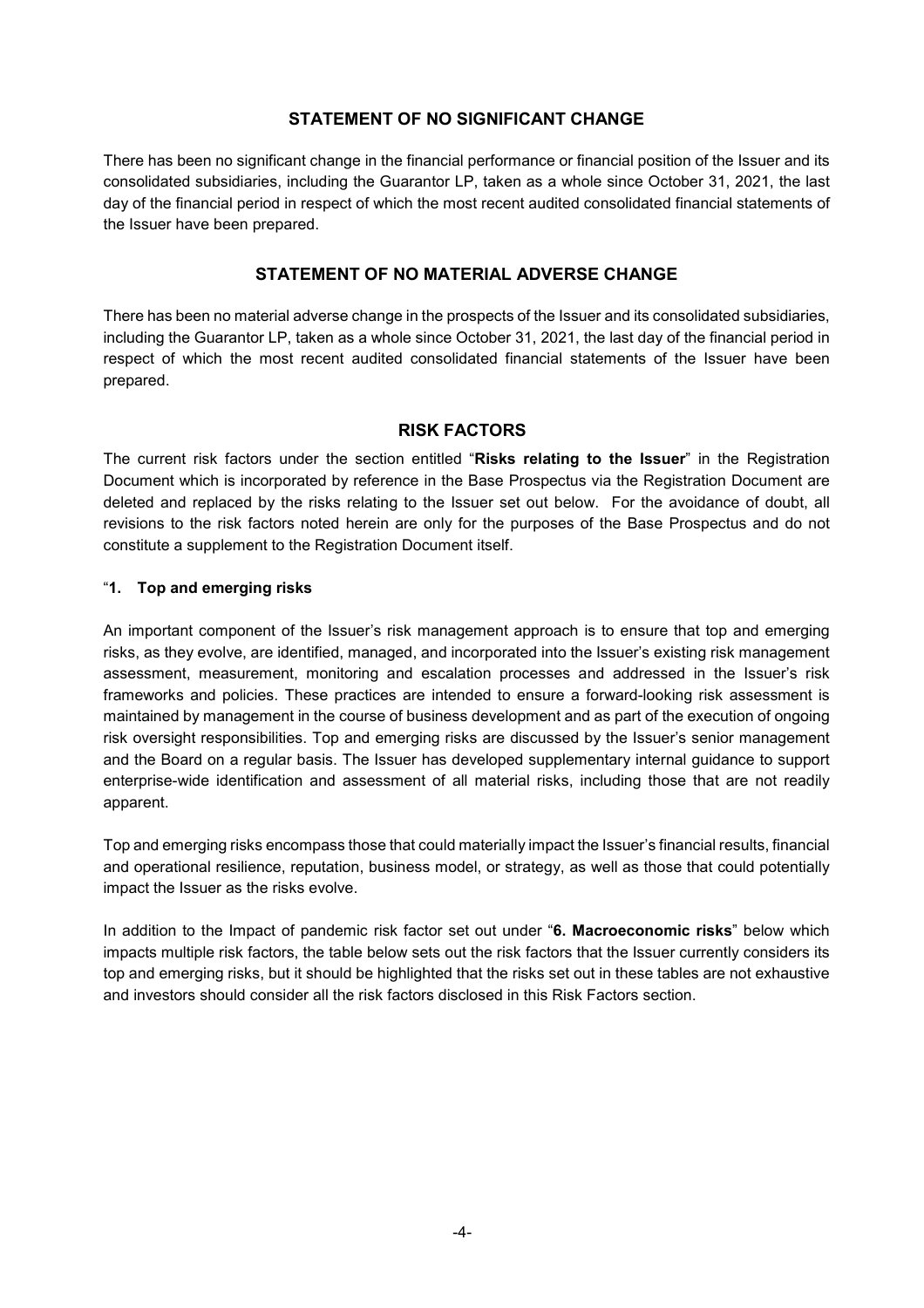# **STATEMENT OF NO SIGNIFICANT CHANGE**

There has been no significant change in the financial performance or financial position of the Issuer and its consolidated subsidiaries, including the Guarantor LP, taken as a whole since October 31, 2021, the last day of the financial period in respect of which the most recent audited consolidated financial statements of the Issuer have been prepared.

# **STATEMENT OF NO MATERIAL ADVERSE CHANGE**

There has been no material adverse change in the prospects of the Issuer and its consolidated subsidiaries, including the Guarantor LP, taken as a whole since October 31, 2021, the last day of the financial period in respect of which the most recent audited consolidated financial statements of the Issuer have been prepared.

### **RISK FACTORS**

The current risk factors under the section entitled "**Risks relating to the Issuer**" in the Registration Document which is incorporated by reference in the Base Prospectus via the Registration Document are deleted and replaced by the risks relating to the Issuer set out below. For the avoidance of doubt, all revisions to the risk factors noted herein are only for the purposes of the Base Prospectus and do not constitute a supplement to the Registration Document itself.

#### "**1. Top and emerging risks**

An important component of the Issuer's risk management approach is to ensure that top and emerging risks, as they evolve, are identified, managed, and incorporated into the Issuer's existing risk management assessment, measurement, monitoring and escalation processes and addressed in the Issuer's risk frameworks and policies. These practices are intended to ensure a forward-looking risk assessment is maintained by management in the course of business development and as part of the execution of ongoing risk oversight responsibilities. Top and emerging risks are discussed by the Issuer's senior management and the Board on a regular basis. The Issuer has developed supplementary internal guidance to support enterprise-wide identification and assessment of all material risks, including those that are not readily apparent.

Top and emerging risks encompass those that could materially impact the Issuer's financial results, financial and operational resilience, reputation, business model, or strategy, as well as those that could potentially impact the Issuer as the risks evolve.

In addition to the Impact of pandemic risk factor set out under "**6. Macroeconomic risks**" below which impacts multiple risk factors, the table below sets out the risk factors that the Issuer currently considers its top and emerging risks, but it should be highlighted that the risks set out in these tables are not exhaustive and investors should consider all the risk factors disclosed in this Risk Factors section.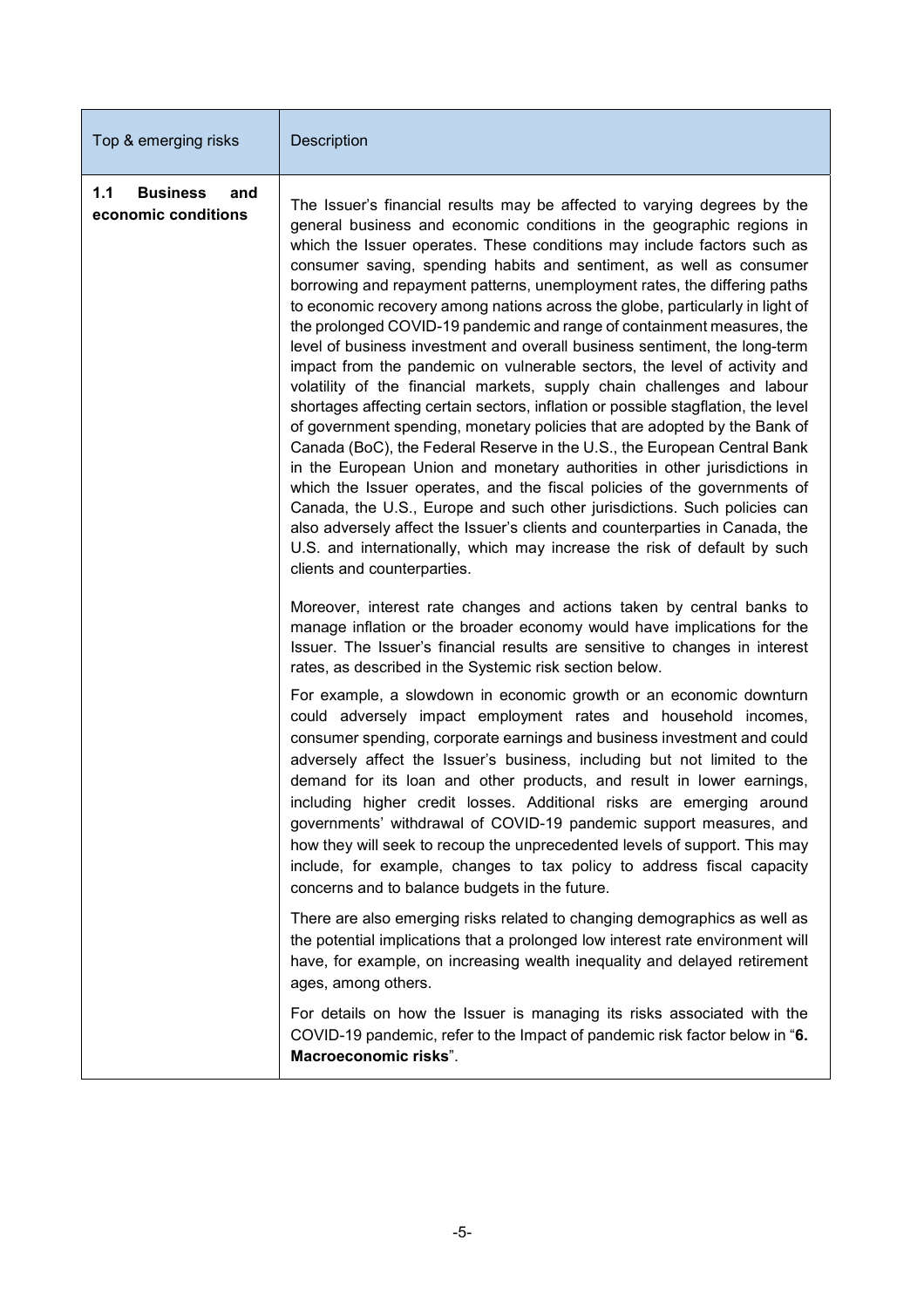| Top & emerging risks                                 | <b>Description</b>                                                                                                                                                                                                                                                                                                                                                                                                                                                                                                                                                                                                                                                                                                                                                                                                                                                                                                                                                                                                                                                                                                                                                                                                                                                                                                                                                                                                                                             |
|------------------------------------------------------|----------------------------------------------------------------------------------------------------------------------------------------------------------------------------------------------------------------------------------------------------------------------------------------------------------------------------------------------------------------------------------------------------------------------------------------------------------------------------------------------------------------------------------------------------------------------------------------------------------------------------------------------------------------------------------------------------------------------------------------------------------------------------------------------------------------------------------------------------------------------------------------------------------------------------------------------------------------------------------------------------------------------------------------------------------------------------------------------------------------------------------------------------------------------------------------------------------------------------------------------------------------------------------------------------------------------------------------------------------------------------------------------------------------------------------------------------------------|
| 1.1<br><b>Business</b><br>and<br>economic conditions | The Issuer's financial results may be affected to varying degrees by the<br>general business and economic conditions in the geographic regions in<br>which the Issuer operates. These conditions may include factors such as<br>consumer saving, spending habits and sentiment, as well as consumer<br>borrowing and repayment patterns, unemployment rates, the differing paths<br>to economic recovery among nations across the globe, particularly in light of<br>the prolonged COVID-19 pandemic and range of containment measures, the<br>level of business investment and overall business sentiment, the long-term<br>impact from the pandemic on vulnerable sectors, the level of activity and<br>volatility of the financial markets, supply chain challenges and labour<br>shortages affecting certain sectors, inflation or possible stagflation, the level<br>of government spending, monetary policies that are adopted by the Bank of<br>Canada (BoC), the Federal Reserve in the U.S., the European Central Bank<br>in the European Union and monetary authorities in other jurisdictions in<br>which the Issuer operates, and the fiscal policies of the governments of<br>Canada, the U.S., Europe and such other jurisdictions. Such policies can<br>also adversely affect the Issuer's clients and counterparties in Canada, the<br>U.S. and internationally, which may increase the risk of default by such<br>clients and counterparties. |
|                                                      | Moreover, interest rate changes and actions taken by central banks to<br>manage inflation or the broader economy would have implications for the<br>Issuer. The Issuer's financial results are sensitive to changes in interest<br>rates, as described in the Systemic risk section below.                                                                                                                                                                                                                                                                                                                                                                                                                                                                                                                                                                                                                                                                                                                                                                                                                                                                                                                                                                                                                                                                                                                                                                     |
|                                                      | For example, a slowdown in economic growth or an economic downturn<br>could adversely impact employment rates and household incomes,<br>consumer spending, corporate earnings and business investment and could<br>adversely affect the Issuer's business, including but not limited to the<br>demand for its loan and other products, and result in lower earnings,<br>including higher credit losses. Additional risks are emerging around<br>governments' withdrawal of COVID-19 pandemic support measures, and<br>how they will seek to recoup the unprecedented levels of support. This may<br>include, for example, changes to tax policy to address fiscal capacity<br>concerns and to balance budgets in the future.                                                                                                                                                                                                                                                                                                                                                                                                                                                                                                                                                                                                                                                                                                                                   |
|                                                      | There are also emerging risks related to changing demographics as well as<br>the potential implications that a prolonged low interest rate environment will<br>have, for example, on increasing wealth inequality and delayed retirement<br>ages, among others.                                                                                                                                                                                                                                                                                                                                                                                                                                                                                                                                                                                                                                                                                                                                                                                                                                                                                                                                                                                                                                                                                                                                                                                                |
|                                                      | For details on how the Issuer is managing its risks associated with the<br>COVID-19 pandemic, refer to the Impact of pandemic risk factor below in "6.<br>Macroeconomic risks".                                                                                                                                                                                                                                                                                                                                                                                                                                                                                                                                                                                                                                                                                                                                                                                                                                                                                                                                                                                                                                                                                                                                                                                                                                                                                |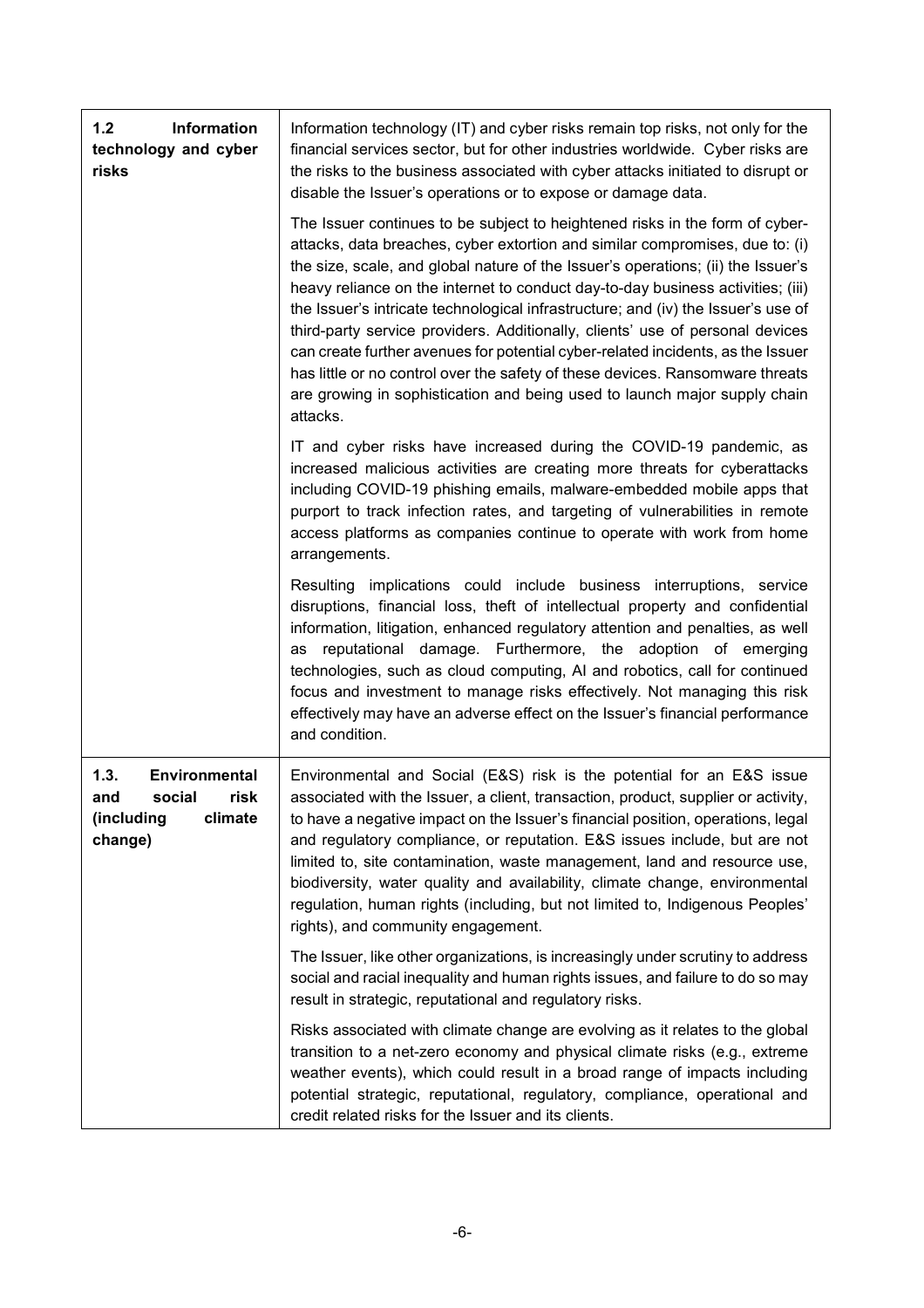| Information<br>$1.2$<br>technology and cyber<br>risks                              | Information technology (IT) and cyber risks remain top risks, not only for the<br>financial services sector, but for other industries worldwide. Cyber risks are<br>the risks to the business associated with cyber attacks initiated to disrupt or<br>disable the Issuer's operations or to expose or damage data.                                                                                                                                                                                                                                                                                                                                                                                                                                                    |
|------------------------------------------------------------------------------------|------------------------------------------------------------------------------------------------------------------------------------------------------------------------------------------------------------------------------------------------------------------------------------------------------------------------------------------------------------------------------------------------------------------------------------------------------------------------------------------------------------------------------------------------------------------------------------------------------------------------------------------------------------------------------------------------------------------------------------------------------------------------|
|                                                                                    | The Issuer continues to be subject to heightened risks in the form of cyber-<br>attacks, data breaches, cyber extortion and similar compromises, due to: (i)<br>the size, scale, and global nature of the Issuer's operations; (ii) the Issuer's<br>heavy reliance on the internet to conduct day-to-day business activities; (iii)<br>the Issuer's intricate technological infrastructure; and (iv) the Issuer's use of<br>third-party service providers. Additionally, clients' use of personal devices<br>can create further avenues for potential cyber-related incidents, as the Issuer<br>has little or no control over the safety of these devices. Ransomware threats<br>are growing in sophistication and being used to launch major supply chain<br>attacks. |
|                                                                                    | IT and cyber risks have increased during the COVID-19 pandemic, as<br>increased malicious activities are creating more threats for cyberattacks<br>including COVID-19 phishing emails, malware-embedded mobile apps that<br>purport to track infection rates, and targeting of vulnerabilities in remote<br>access platforms as companies continue to operate with work from home<br>arrangements.                                                                                                                                                                                                                                                                                                                                                                     |
|                                                                                    | Resulting implications could include business interruptions, service<br>disruptions, financial loss, theft of intellectual property and confidential<br>information, litigation, enhanced regulatory attention and penalties, as well<br>reputational damage. Furthermore, the adoption of emerging<br>as<br>technologies, such as cloud computing, AI and robotics, call for continued<br>focus and investment to manage risks effectively. Not managing this risk<br>effectively may have an adverse effect on the Issuer's financial performance<br>and condition.                                                                                                                                                                                                  |
| 1.3.<br>Environmental<br>social<br>risk<br>and<br>climate<br>(including<br>change) | Environmental and Social (E&S) risk is the potential for an E&S issue<br>associated with the Issuer, a client, transaction, product, supplier or activity,<br>to have a negative impact on the Issuer's financial position, operations, legal<br>and regulatory compliance, or reputation. E&S issues include, but are not<br>limited to, site contamination, waste management, land and resource use,<br>biodiversity, water quality and availability, climate change, environmental<br>regulation, human rights (including, but not limited to, Indigenous Peoples'<br>rights), and community engagement.                                                                                                                                                            |
|                                                                                    | The Issuer, like other organizations, is increasingly under scrutiny to address<br>social and racial inequality and human rights issues, and failure to do so may<br>result in strategic, reputational and regulatory risks.                                                                                                                                                                                                                                                                                                                                                                                                                                                                                                                                           |
|                                                                                    | Risks associated with climate change are evolving as it relates to the global<br>transition to a net-zero economy and physical climate risks (e.g., extreme<br>weather events), which could result in a broad range of impacts including<br>potential strategic, reputational, regulatory, compliance, operational and<br>credit related risks for the Issuer and its clients.                                                                                                                                                                                                                                                                                                                                                                                         |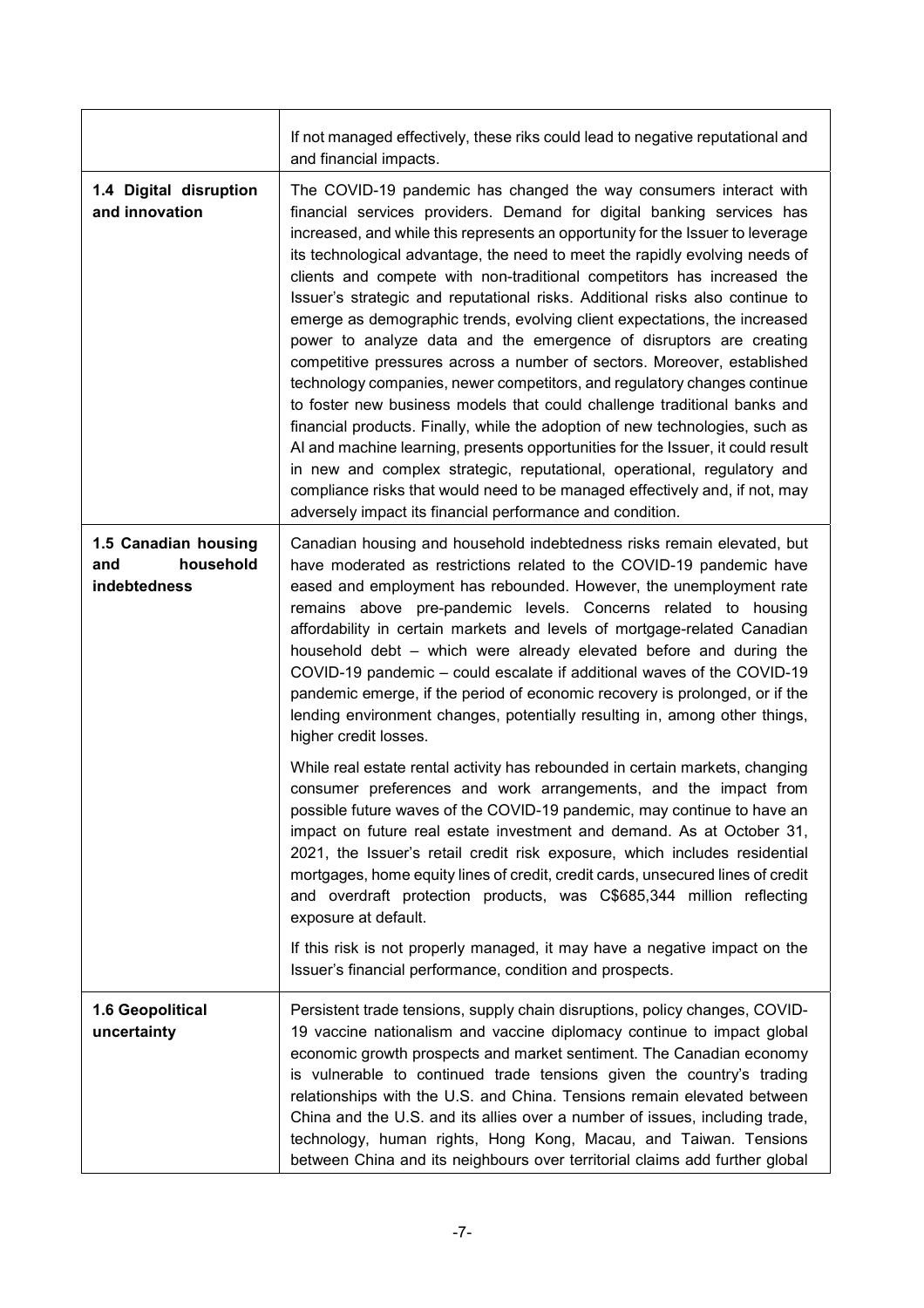|                                                          | If not managed effectively, these riks could lead to negative reputational and<br>and financial impacts.                                                                                                                                                                                                                                                                                                                                                                                                                                                                                                                                                                                                                                                                                                                                                                                                                                                                                                                                                                                                                                                                                                                                              |
|----------------------------------------------------------|-------------------------------------------------------------------------------------------------------------------------------------------------------------------------------------------------------------------------------------------------------------------------------------------------------------------------------------------------------------------------------------------------------------------------------------------------------------------------------------------------------------------------------------------------------------------------------------------------------------------------------------------------------------------------------------------------------------------------------------------------------------------------------------------------------------------------------------------------------------------------------------------------------------------------------------------------------------------------------------------------------------------------------------------------------------------------------------------------------------------------------------------------------------------------------------------------------------------------------------------------------|
| 1.4 Digital disruption<br>and innovation                 | The COVID-19 pandemic has changed the way consumers interact with<br>financial services providers. Demand for digital banking services has<br>increased, and while this represents an opportunity for the Issuer to leverage<br>its technological advantage, the need to meet the rapidly evolving needs of<br>clients and compete with non-traditional competitors has increased the<br>Issuer's strategic and reputational risks. Additional risks also continue to<br>emerge as demographic trends, evolving client expectations, the increased<br>power to analyze data and the emergence of disruptors are creating<br>competitive pressures across a number of sectors. Moreover, established<br>technology companies, newer competitors, and regulatory changes continue<br>to foster new business models that could challenge traditional banks and<br>financial products. Finally, while the adoption of new technologies, such as<br>AI and machine learning, presents opportunities for the Issuer, it could result<br>in new and complex strategic, reputational, operational, regulatory and<br>compliance risks that would need to be managed effectively and, if not, may<br>adversely impact its financial performance and condition. |
| 1.5 Canadian housing<br>household<br>and<br>indebtedness | Canadian housing and household indebtedness risks remain elevated, but<br>have moderated as restrictions related to the COVID-19 pandemic have<br>eased and employment has rebounded. However, the unemployment rate<br>remains above pre-pandemic levels. Concerns related to housing<br>affordability in certain markets and levels of mortgage-related Canadian<br>household debt - which were already elevated before and during the<br>COVID-19 pandemic - could escalate if additional waves of the COVID-19<br>pandemic emerge, if the period of economic recovery is prolonged, or if the<br>lending environment changes, potentially resulting in, among other things,<br>higher credit losses.                                                                                                                                                                                                                                                                                                                                                                                                                                                                                                                                              |
|                                                          | While real estate rental activity has rebounded in certain markets, changing<br>consumer preferences and work arrangements, and the impact from<br>possible future waves of the COVID-19 pandemic, may continue to have an<br>impact on future real estate investment and demand. As at October 31,<br>2021, the Issuer's retail credit risk exposure, which includes residential<br>mortgages, home equity lines of credit, credit cards, unsecured lines of credit<br>and overdraft protection products, was C\$685,344 million reflecting<br>exposure at default.<br>If this risk is not properly managed, it may have a negative impact on the<br>Issuer's financial performance, condition and prospects.                                                                                                                                                                                                                                                                                                                                                                                                                                                                                                                                        |
| 1.6 Geopolitical<br>uncertainty                          | Persistent trade tensions, supply chain disruptions, policy changes, COVID-<br>19 vaccine nationalism and vaccine diplomacy continue to impact global<br>economic growth prospects and market sentiment. The Canadian economy<br>is vulnerable to continued trade tensions given the country's trading<br>relationships with the U.S. and China. Tensions remain elevated between<br>China and the U.S. and its allies over a number of issues, including trade,<br>technology, human rights, Hong Kong, Macau, and Taiwan. Tensions<br>between China and its neighbours over territorial claims add further global                                                                                                                                                                                                                                                                                                                                                                                                                                                                                                                                                                                                                                   |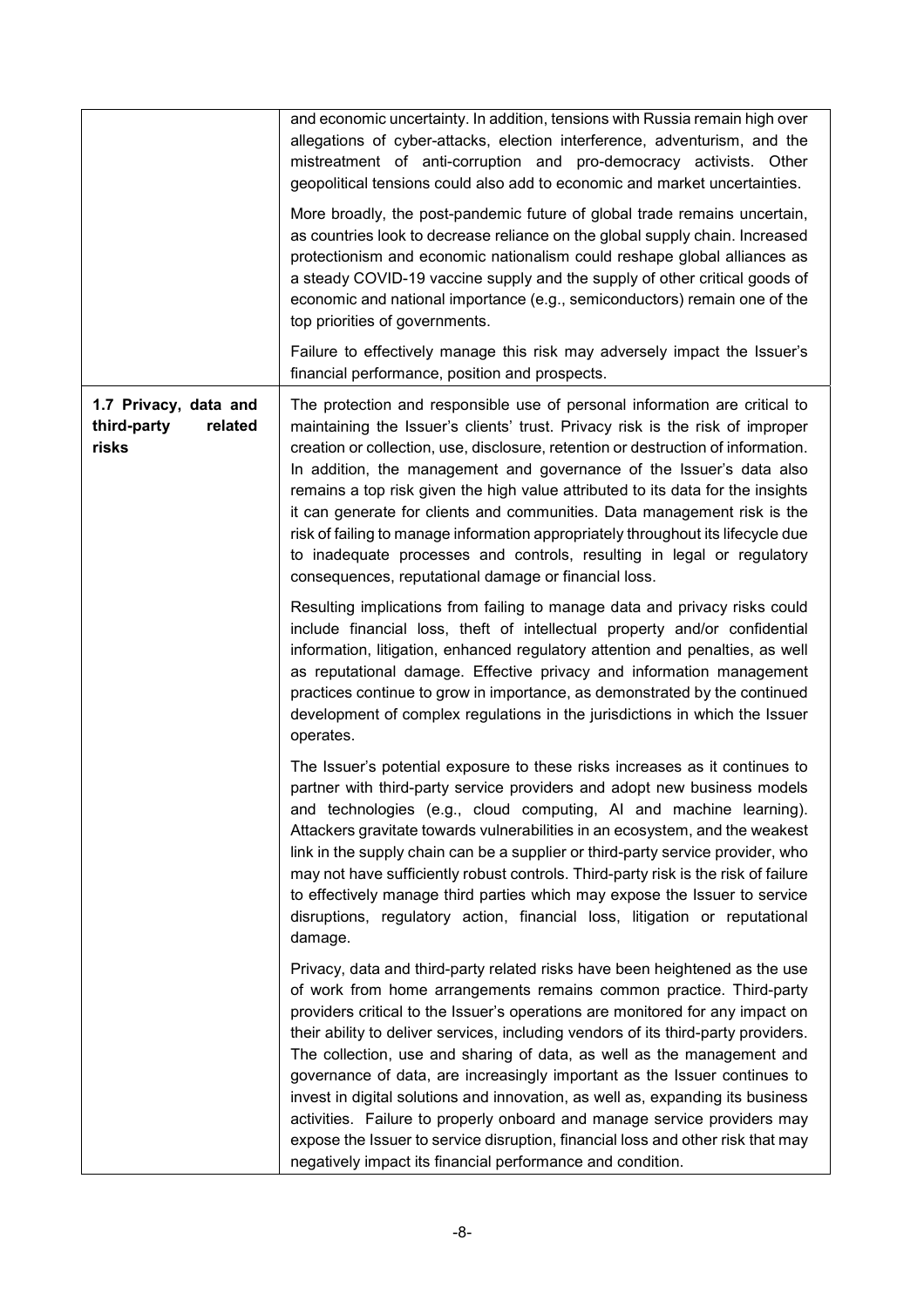|                                                          | and economic uncertainty. In addition, tensions with Russia remain high over<br>allegations of cyber-attacks, election interference, adventurism, and the<br>mistreatment of anti-corruption and pro-democracy activists. Other<br>geopolitical tensions could also add to economic and market uncertainties.<br>More broadly, the post-pandemic future of global trade remains uncertain,<br>as countries look to decrease reliance on the global supply chain. Increased<br>protectionism and economic nationalism could reshape global alliances as<br>a steady COVID-19 vaccine supply and the supply of other critical goods of<br>economic and national importance (e.g., semiconductors) remain one of the<br>top priorities of governments.<br>Failure to effectively manage this risk may adversely impact the Issuer's<br>financial performance, position and prospects. |
|----------------------------------------------------------|------------------------------------------------------------------------------------------------------------------------------------------------------------------------------------------------------------------------------------------------------------------------------------------------------------------------------------------------------------------------------------------------------------------------------------------------------------------------------------------------------------------------------------------------------------------------------------------------------------------------------------------------------------------------------------------------------------------------------------------------------------------------------------------------------------------------------------------------------------------------------------|
| 1.7 Privacy, data and<br>third-party<br>related<br>risks | The protection and responsible use of personal information are critical to<br>maintaining the Issuer's clients' trust. Privacy risk is the risk of improper<br>creation or collection, use, disclosure, retention or destruction of information.<br>In addition, the management and governance of the Issuer's data also<br>remains a top risk given the high value attributed to its data for the insights<br>it can generate for clients and communities. Data management risk is the<br>risk of failing to manage information appropriately throughout its lifecycle due<br>to inadequate processes and controls, resulting in legal or regulatory<br>consequences, reputational damage or financial loss.                                                                                                                                                                      |
|                                                          | Resulting implications from failing to manage data and privacy risks could<br>include financial loss, theft of intellectual property and/or confidential<br>information, litigation, enhanced regulatory attention and penalties, as well<br>as reputational damage. Effective privacy and information management<br>practices continue to grow in importance, as demonstrated by the continued<br>development of complex regulations in the jurisdictions in which the Issuer<br>operates.                                                                                                                                                                                                                                                                                                                                                                                        |
|                                                          | The Issuer's potential exposure to these risks increases as it continues to<br>partner with third-party service providers and adopt new business models<br>and technologies (e.g., cloud computing, AI and machine learning).<br>Attackers gravitate towards vulnerabilities in an ecosystem, and the weakest<br>link in the supply chain can be a supplier or third-party service provider, who<br>may not have sufficiently robust controls. Third-party risk is the risk of failure<br>to effectively manage third parties which may expose the Issuer to service<br>disruptions, regulatory action, financial loss, litigation or reputational<br>damage.                                                                                                                                                                                                                      |
|                                                          | Privacy, data and third-party related risks have been heightened as the use<br>of work from home arrangements remains common practice. Third-party<br>providers critical to the Issuer's operations are monitored for any impact on<br>their ability to deliver services, including vendors of its third-party providers.<br>The collection, use and sharing of data, as well as the management and<br>governance of data, are increasingly important as the Issuer continues to<br>invest in digital solutions and innovation, as well as, expanding its business<br>activities. Failure to properly onboard and manage service providers may<br>expose the Issuer to service disruption, financial loss and other risk that may<br>negatively impact its financial performance and condition.                                                                                    |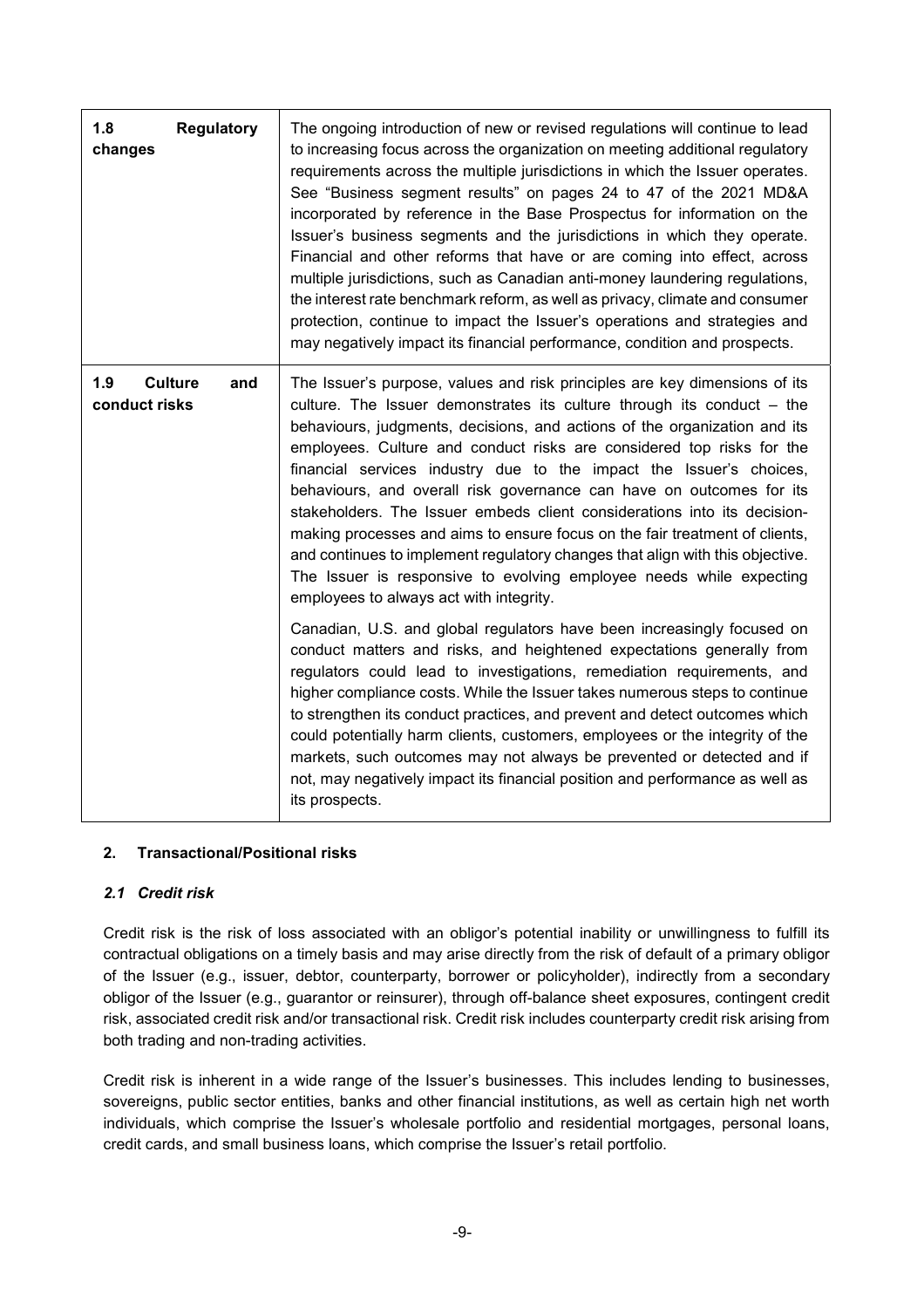| 1.8<br><b>Regulatory</b><br>changes           | The ongoing introduction of new or revised regulations will continue to lead<br>to increasing focus across the organization on meeting additional regulatory<br>requirements across the multiple jurisdictions in which the Issuer operates.<br>See "Business segment results" on pages 24 to 47 of the 2021 MD&A<br>incorporated by reference in the Base Prospectus for information on the<br>Issuer's business segments and the jurisdictions in which they operate.<br>Financial and other reforms that have or are coming into effect, across<br>multiple jurisdictions, such as Canadian anti-money laundering regulations,<br>the interest rate benchmark reform, as well as privacy, climate and consumer<br>protection, continue to impact the Issuer's operations and strategies and<br>may negatively impact its financial performance, condition and prospects. |
|-----------------------------------------------|-----------------------------------------------------------------------------------------------------------------------------------------------------------------------------------------------------------------------------------------------------------------------------------------------------------------------------------------------------------------------------------------------------------------------------------------------------------------------------------------------------------------------------------------------------------------------------------------------------------------------------------------------------------------------------------------------------------------------------------------------------------------------------------------------------------------------------------------------------------------------------|
| 1.9<br><b>Culture</b><br>and<br>conduct risks | The Issuer's purpose, values and risk principles are key dimensions of its<br>culture. The Issuer demonstrates its culture through its conduct - the<br>behaviours, judgments, decisions, and actions of the organization and its<br>employees. Culture and conduct risks are considered top risks for the<br>financial services industry due to the impact the Issuer's choices,<br>behaviours, and overall risk governance can have on outcomes for its<br>stakeholders. The Issuer embeds client considerations into its decision-<br>making processes and aims to ensure focus on the fair treatment of clients,<br>and continues to implement regulatory changes that align with this objective.<br>The Issuer is responsive to evolving employee needs while expecting<br>employees to always act with integrity.                                                     |
|                                               | Canadian, U.S. and global regulators have been increasingly focused on<br>conduct matters and risks, and heightened expectations generally from<br>regulators could lead to investigations, remediation requirements, and<br>higher compliance costs. While the Issuer takes numerous steps to continue<br>to strengthen its conduct practices, and prevent and detect outcomes which<br>could potentially harm clients, customers, employees or the integrity of the<br>markets, such outcomes may not always be prevented or detected and if<br>not, may negatively impact its financial position and performance as well as<br>its prospects.                                                                                                                                                                                                                            |

#### **2. Transactional/Positional risks**

#### *2.1 Credit risk*

Credit risk is the risk of loss associated with an obligor's potential inability or unwillingness to fulfill its contractual obligations on a timely basis and may arise directly from the risk of default of a primary obligor of the Issuer (e.g., issuer, debtor, counterparty, borrower or policyholder), indirectly from a secondary obligor of the Issuer (e.g., guarantor or reinsurer), through off-balance sheet exposures, contingent credit risk, associated credit risk and/or transactional risk. Credit risk includes counterparty credit risk arising from both trading and non-trading activities.

Credit risk is inherent in a wide range of the Issuer's businesses. This includes lending to businesses, sovereigns, public sector entities, banks and other financial institutions, as well as certain high net worth individuals, which comprise the Issuer's wholesale portfolio and residential mortgages, personal loans, credit cards, and small business loans, which comprise the Issuer's retail portfolio.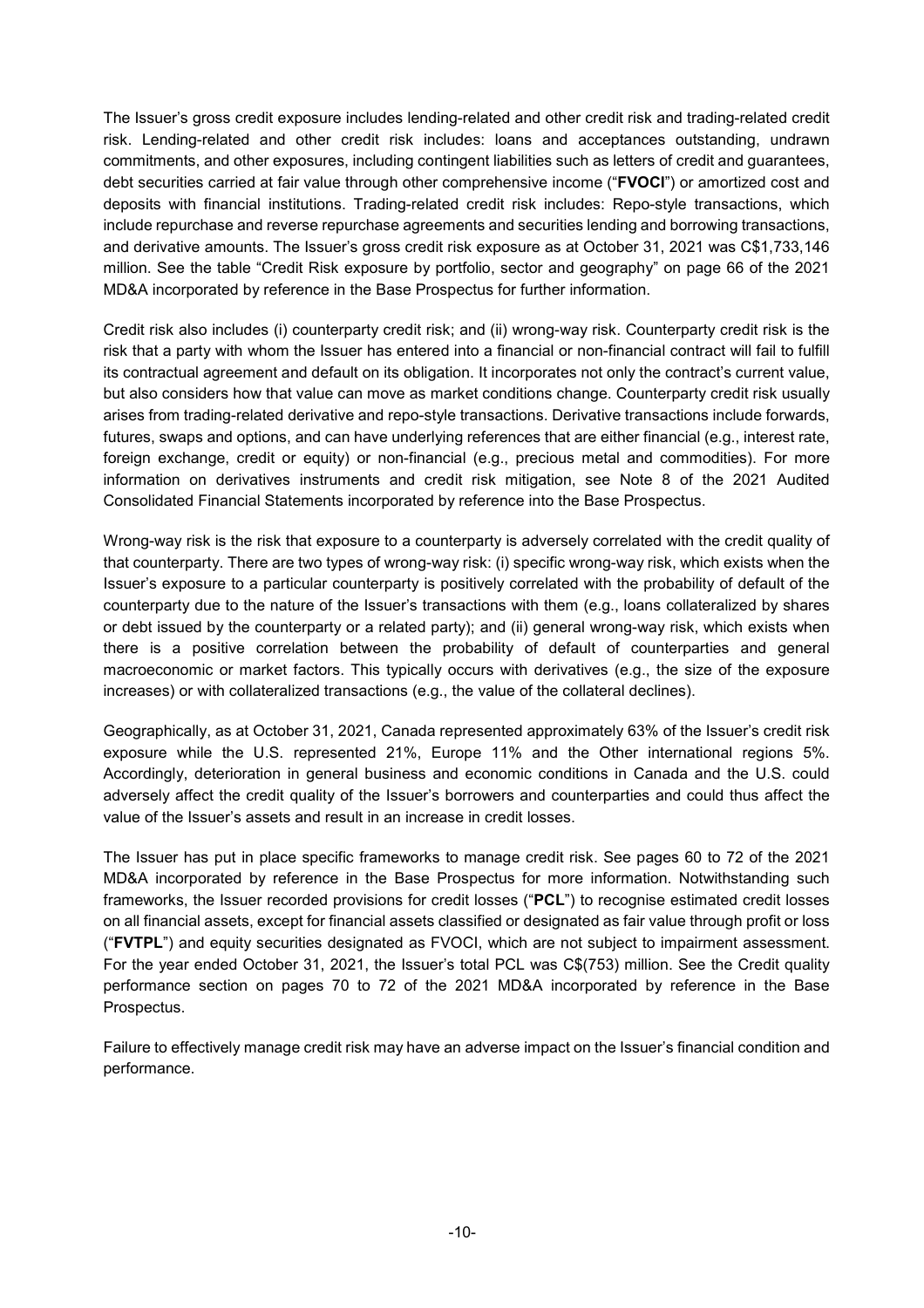The Issuer's gross credit exposure includes lending-related and other credit risk and trading-related credit risk. Lending-related and other credit risk includes: loans and acceptances outstanding, undrawn commitments, and other exposures, including contingent liabilities such as letters of credit and guarantees, debt securities carried at fair value through other comprehensive income ("**FVOCI**") or amortized cost and deposits with financial institutions. Trading-related credit risk includes: Repo-style transactions, which include repurchase and reverse repurchase agreements and securities lending and borrowing transactions, and derivative amounts. The Issuer's gross credit risk exposure as at October 31, 2021 was C\$1,733,146 million. See the table "Credit Risk exposure by portfolio, sector and geography" on page 66 of the 2021 MD&A incorporated by reference in the Base Prospectus for further information.

Credit risk also includes (i) counterparty credit risk; and (ii) wrong-way risk. Counterparty credit risk is the risk that a party with whom the Issuer has entered into a financial or non-financial contract will fail to fulfill its contractual agreement and default on its obligation. It incorporates not only the contract's current value, but also considers how that value can move as market conditions change. Counterparty credit risk usually arises from trading-related derivative and repo-style transactions. Derivative transactions include forwards, futures, swaps and options, and can have underlying references that are either financial (e.g., interest rate, foreign exchange, credit or equity) or non-financial (e.g., precious metal and commodities). For more information on derivatives instruments and credit risk mitigation, see Note 8 of the 2021 Audited Consolidated Financial Statements incorporated by reference into the Base Prospectus.

Wrong-way risk is the risk that exposure to a counterparty is adversely correlated with the credit quality of that counterparty. There are two types of wrong-way risk: (i) specific wrong-way risk, which exists when the Issuer's exposure to a particular counterparty is positively correlated with the probability of default of the counterparty due to the nature of the Issuer's transactions with them (e.g., loans collateralized by shares or debt issued by the counterparty or a related party); and (ii) general wrong-way risk, which exists when there is a positive correlation between the probability of default of counterparties and general macroeconomic or market factors. This typically occurs with derivatives (e.g., the size of the exposure increases) or with collateralized transactions (e.g., the value of the collateral declines).

Geographically, as at October 31, 2021, Canada represented approximately 63% of the Issuer's credit risk exposure while the U.S. represented 21%, Europe 11% and the Other international regions 5%. Accordingly, deterioration in general business and economic conditions in Canada and the U.S. could adversely affect the credit quality of the Issuer's borrowers and counterparties and could thus affect the value of the Issuer's assets and result in an increase in credit losses.

The Issuer has put in place specific frameworks to manage credit risk. See pages 60 to 72 of the 2021 MD&A incorporated by reference in the Base Prospectus for more information. Notwithstanding such frameworks, the Issuer recorded provisions for credit losses ("**PCL**") to recognise estimated credit losses on all financial assets, except for financial assets classified or designated as fair value through profit or loss ("**FVTPL**") and equity securities designated as FVOCI, which are not subject to impairment assessment. For the year ended October 31, 2021, the Issuer's total PCL was C\$(753) million. See the Credit quality performance section on pages 70 to 72 of the 2021 MD&A incorporated by reference in the Base Prospectus.

Failure to effectively manage credit risk may have an adverse impact on the Issuer's financial condition and performance.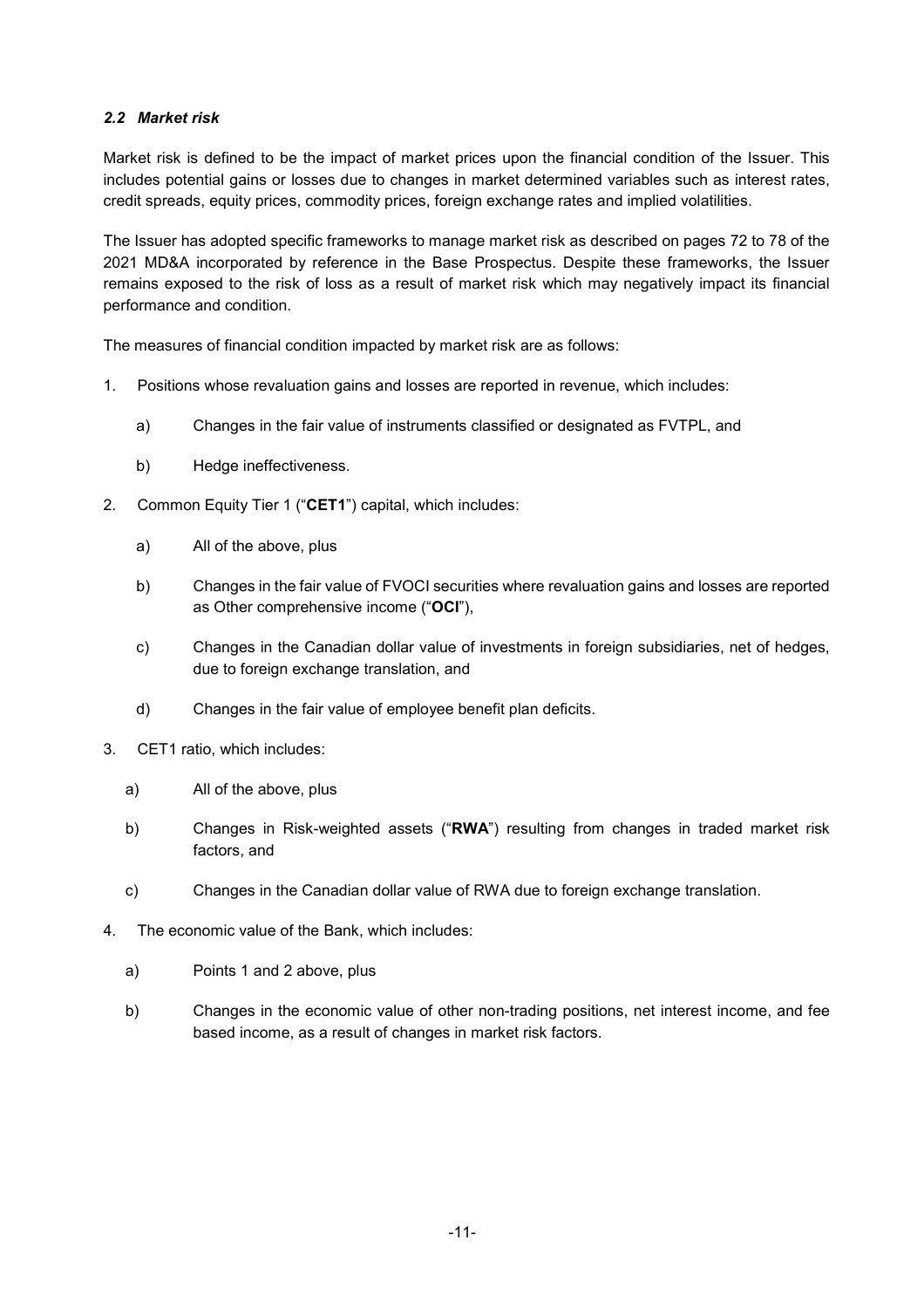### *2.2 Market risk*

Market risk is defined to be the impact of market prices upon the financial condition of the Issuer. This includes potential gains or losses due to changes in market determined variables such as interest rates, credit spreads, equity prices, commodity prices, foreign exchange rates and implied volatilities.

The Issuer has adopted specific frameworks to manage market risk as described on pages 72 to 78 of the 2021 MD&A incorporated by reference in the Base Prospectus. Despite these frameworks, the Issuer remains exposed to the risk of loss as a result of market risk which may negatively impact its financial performance and condition.

The measures of financial condition impacted by market risk are as follows:

- 1. Positions whose revaluation gains and losses are reported in revenue, which includes:
	- a) Changes in the fair value of instruments classified or designated as FVTPL, and
	- b) Hedge ineffectiveness.
- 2. Common Equity Tier 1 ("**CET1**") capital, which includes:
	- a) All of the above, plus
	- b) Changes in the fair value of FVOCI securities where revaluation gains and losses are reported as Other comprehensive income ("**OCI**"),
	- c) Changes in the Canadian dollar value of investments in foreign subsidiaries, net of hedges, due to foreign exchange translation, and
	- d) Changes in the fair value of employee benefit plan deficits.
- 3. CET1 ratio, which includes:
	- a) All of the above, plus
	- b) Changes in Risk-weighted assets ("**RWA**") resulting from changes in traded market risk factors, and
	- c) Changes in the Canadian dollar value of RWA due to foreign exchange translation.
- 4. The economic value of the Bank, which includes:
	- a) Points 1 and 2 above, plus
	- b) Changes in the economic value of other non-trading positions, net interest income, and fee based income, as a result of changes in market risk factors.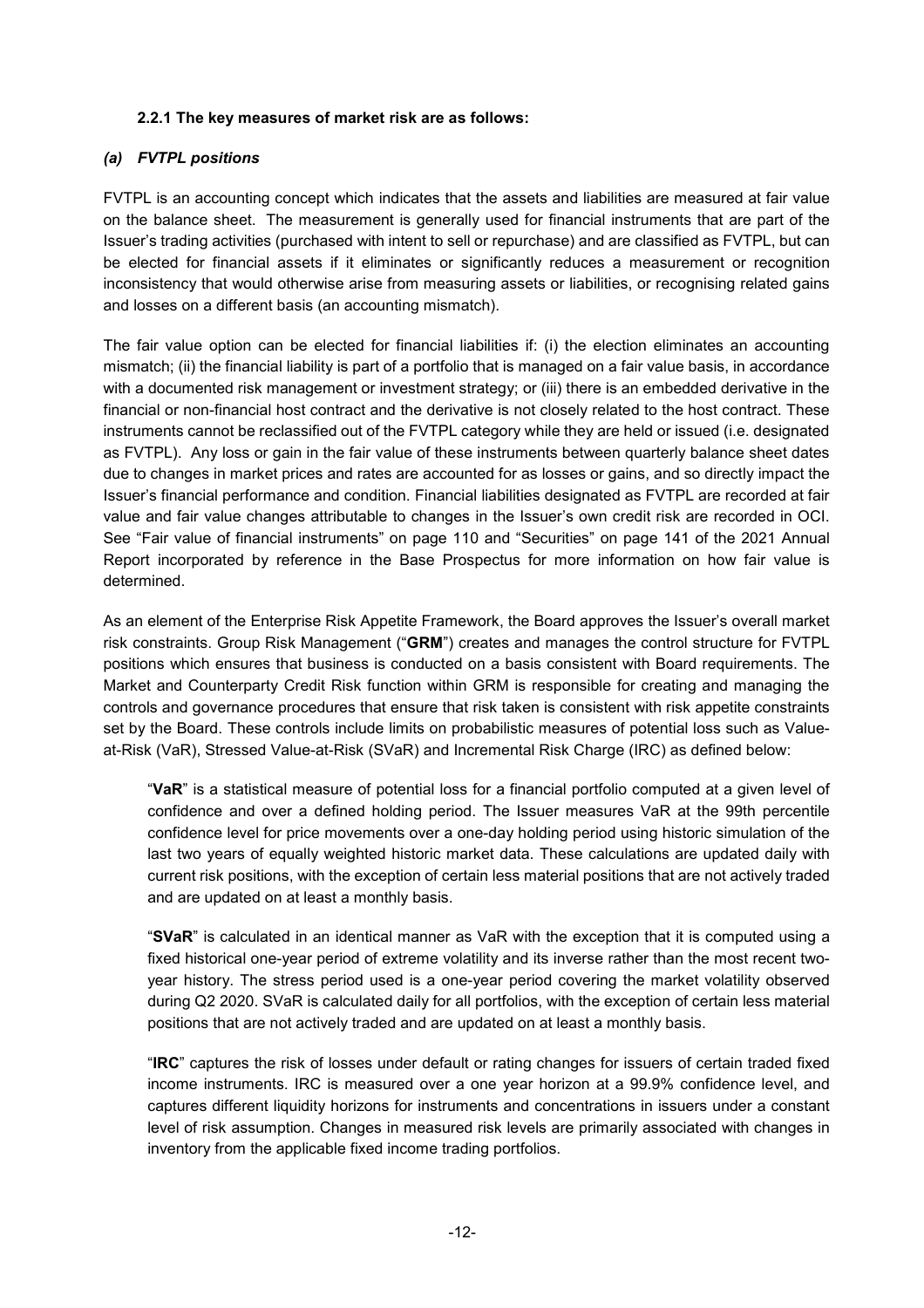#### **2.2.1 The key measures of market risk are as follows:**

# *(a) FVTPL positions*

FVTPL is an accounting concept which indicates that the assets and liabilities are measured at fair value on the balance sheet. The measurement is generally used for financial instruments that are part of the Issuer's trading activities (purchased with intent to sell or repurchase) and are classified as FVTPL, but can be elected for financial assets if it eliminates or significantly reduces a measurement or recognition inconsistency that would otherwise arise from measuring assets or liabilities, or recognising related gains and losses on a different basis (an accounting mismatch).

The fair value option can be elected for financial liabilities if: (i) the election eliminates an accounting mismatch; (ii) the financial liability is part of a portfolio that is managed on a fair value basis, in accordance with a documented risk management or investment strategy; or (iii) there is an embedded derivative in the financial or non-financial host contract and the derivative is not closely related to the host contract. These instruments cannot be reclassified out of the FVTPL category while they are held or issued (i.e. designated as FVTPL). Any loss or gain in the fair value of these instruments between quarterly balance sheet dates due to changes in market prices and rates are accounted for as losses or gains, and so directly impact the Issuer's financial performance and condition. Financial liabilities designated as FVTPL are recorded at fair value and fair value changes attributable to changes in the Issuer's own credit risk are recorded in OCI. See "Fair value of financial instruments" on page 110 and "Securities" on page 141 of the 2021 Annual Report incorporated by reference in the Base Prospectus for more information on how fair value is determined.

As an element of the Enterprise Risk Appetite Framework, the Board approves the Issuer's overall market risk constraints. Group Risk Management ("**GRM**") creates and manages the control structure for FVTPL positions which ensures that business is conducted on a basis consistent with Board requirements. The Market and Counterparty Credit Risk function within GRM is responsible for creating and managing the controls and governance procedures that ensure that risk taken is consistent with risk appetite constraints set by the Board. These controls include limits on probabilistic measures of potential loss such as Valueat-Risk (VaR), Stressed Value-at-Risk (SVaR) and Incremental Risk Charge (IRC) as defined below:

"**VaR**" is a statistical measure of potential loss for a financial portfolio computed at a given level of confidence and over a defined holding period. The Issuer measures VaR at the 99th percentile confidence level for price movements over a one-day holding period using historic simulation of the last two years of equally weighted historic market data. These calculations are updated daily with current risk positions, with the exception of certain less material positions that are not actively traded and are updated on at least a monthly basis.

"**SVaR**" is calculated in an identical manner as VaR with the exception that it is computed using a fixed historical one-year period of extreme volatility and its inverse rather than the most recent twoyear history. The stress period used is a one-year period covering the market volatility observed during Q2 2020. SVaR is calculated daily for all portfolios, with the exception of certain less material positions that are not actively traded and are updated on at least a monthly basis.

"**IRC**" captures the risk of losses under default or rating changes for issuers of certain traded fixed income instruments. IRC is measured over a one year horizon at a 99.9% confidence level, and captures different liquidity horizons for instruments and concentrations in issuers under a constant level of risk assumption. Changes in measured risk levels are primarily associated with changes in inventory from the applicable fixed income trading portfolios.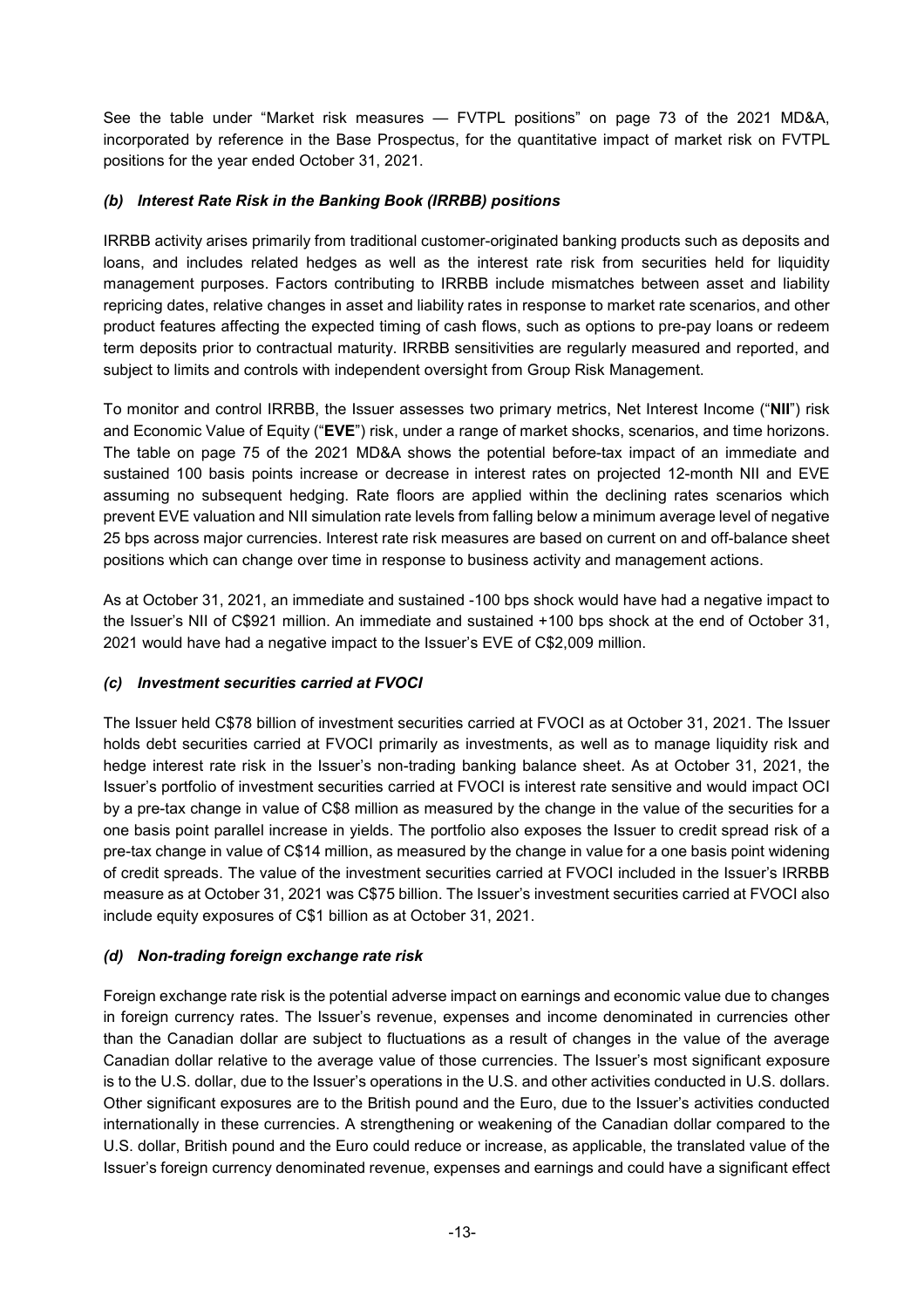See the table under "Market risk measures — FVTPL positions" on page 73 of the 2021 MD&A, incorporated by reference in the Base Prospectus, for the quantitative impact of market risk on FVTPL positions for the year ended October 31, 2021.

# *(b) Interest Rate Risk in the Banking Book (IRRBB) positions*

IRRBB activity arises primarily from traditional customer-originated banking products such as deposits and loans, and includes related hedges as well as the interest rate risk from securities held for liquidity management purposes. Factors contributing to IRRBB include mismatches between asset and liability repricing dates, relative changes in asset and liability rates in response to market rate scenarios, and other product features affecting the expected timing of cash flows, such as options to pre-pay loans or redeem term deposits prior to contractual maturity. IRRBB sensitivities are regularly measured and reported, and subject to limits and controls with independent oversight from Group Risk Management.

To monitor and control IRRBB, the Issuer assesses two primary metrics, Net Interest Income ("**NII**") risk and Economic Value of Equity ("**EVE**") risk, under a range of market shocks, scenarios, and time horizons. The table on page 75 of the 2021 MD&A shows the potential before-tax impact of an immediate and sustained 100 basis points increase or decrease in interest rates on projected 12-month NII and EVE assuming no subsequent hedging. Rate floors are applied within the declining rates scenarios which prevent EVE valuation and NII simulation rate levels from falling below a minimum average level of negative 25 bps across major currencies. Interest rate risk measures are based on current on and off-balance sheet positions which can change over time in response to business activity and management actions.

As at October 31, 2021, an immediate and sustained -100 bps shock would have had a negative impact to the Issuer's NII of C\$921 million. An immediate and sustained +100 bps shock at the end of October 31, 2021 would have had a negative impact to the Issuer's EVE of C\$2,009 million.

# *(c) Investment securities carried at FVOCI*

The Issuer held C\$78 billion of investment securities carried at FVOCI as at October 31, 2021. The Issuer holds debt securities carried at FVOCI primarily as investments, as well as to manage liquidity risk and hedge interest rate risk in the Issuer's non-trading banking balance sheet. As at October 31, 2021, the Issuer's portfolio of investment securities carried at FVOCI is interest rate sensitive and would impact OCI by a pre-tax change in value of C\$8 million as measured by the change in the value of the securities for a one basis point parallel increase in yields. The portfolio also exposes the Issuer to credit spread risk of a pre-tax change in value of C\$14 million, as measured by the change in value for a one basis point widening of credit spreads. The value of the investment securities carried at FVOCI included in the Issuer's IRRBB measure as at October 31, 2021 was C\$75 billion. The Issuer's investment securities carried at FVOCI also include equity exposures of C\$1 billion as at October 31, 2021.

# *(d) Non-trading foreign exchange rate risk*

Foreign exchange rate risk is the potential adverse impact on earnings and economic value due to changes in foreign currency rates. The Issuer's revenue, expenses and income denominated in currencies other than the Canadian dollar are subject to fluctuations as a result of changes in the value of the average Canadian dollar relative to the average value of those currencies. The Issuer's most significant exposure is to the U.S. dollar, due to the Issuer's operations in the U.S. and other activities conducted in U.S. dollars. Other significant exposures are to the British pound and the Euro, due to the Issuer's activities conducted internationally in these currencies. A strengthening or weakening of the Canadian dollar compared to the U.S. dollar, British pound and the Euro could reduce or increase, as applicable, the translated value of the Issuer's foreign currency denominated revenue, expenses and earnings and could have a significant effect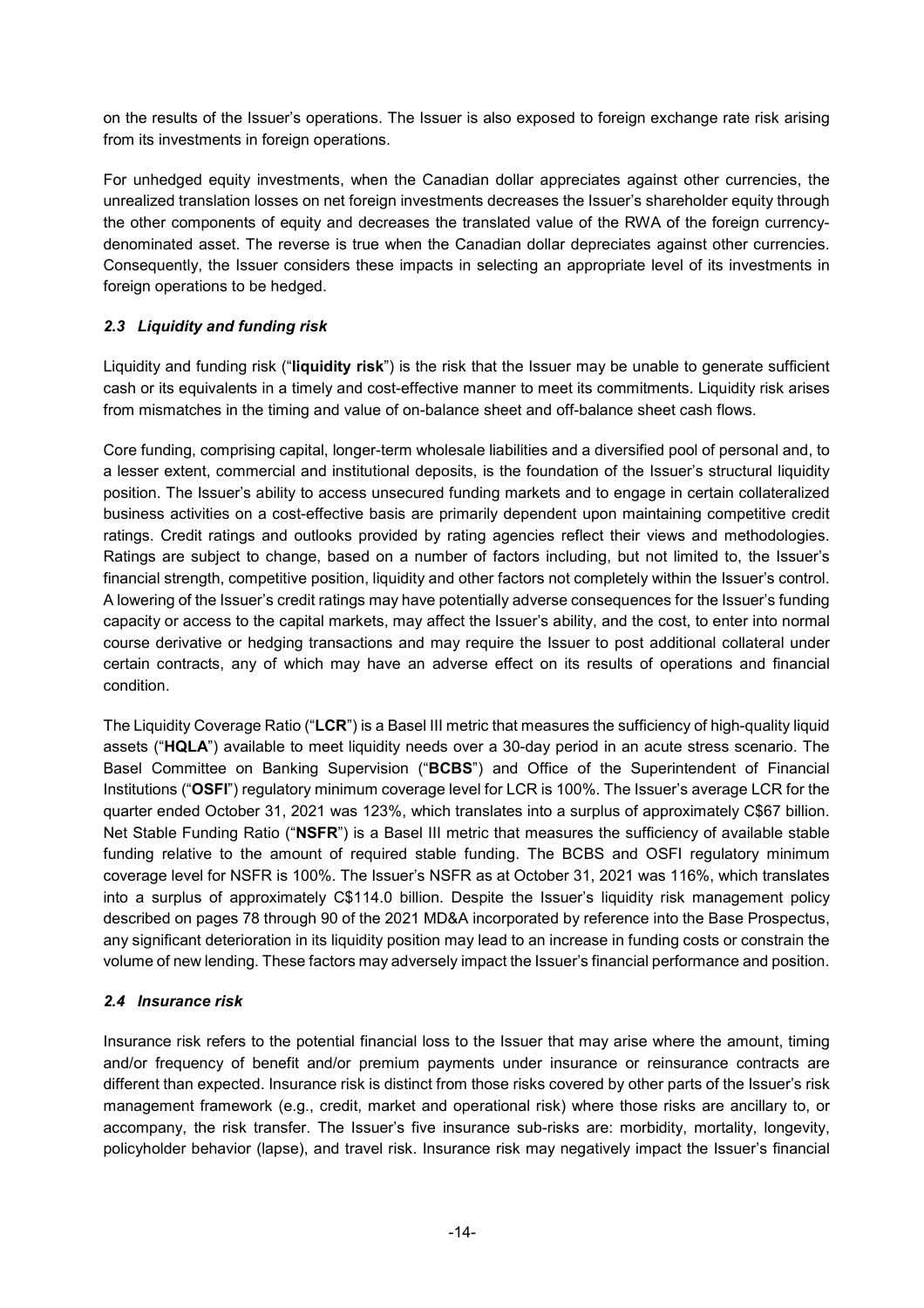on the results of the Issuer's operations. The Issuer is also exposed to foreign exchange rate risk arising from its investments in foreign operations.

For unhedged equity investments, when the Canadian dollar appreciates against other currencies, the unrealized translation losses on net foreign investments decreases the Issuer's shareholder equity through the other components of equity and decreases the translated value of the RWA of the foreign currencydenominated asset. The reverse is true when the Canadian dollar depreciates against other currencies. Consequently, the Issuer considers these impacts in selecting an appropriate level of its investments in foreign operations to be hedged.

# *2.3 Liquidity and funding risk*

Liquidity and funding risk ("**liquidity risk**") is the risk that the Issuer may be unable to generate sufficient cash or its equivalents in a timely and cost-effective manner to meet its commitments. Liquidity risk arises from mismatches in the timing and value of on-balance sheet and off-balance sheet cash flows.

Core funding, comprising capital, longer-term wholesale liabilities and a diversified pool of personal and, to a lesser extent, commercial and institutional deposits, is the foundation of the Issuer's structural liquidity position. The Issuer's ability to access unsecured funding markets and to engage in certain collateralized business activities on a cost-effective basis are primarily dependent upon maintaining competitive credit ratings. Credit ratings and outlooks provided by rating agencies reflect their views and methodologies. Ratings are subject to change, based on a number of factors including, but not limited to, the Issuer's financial strength, competitive position, liquidity and other factors not completely within the Issuer's control. A lowering of the Issuer's credit ratings may have potentially adverse consequences for the Issuer's funding capacity or access to the capital markets, may affect the Issuer's ability, and the cost, to enter into normal course derivative or hedging transactions and may require the Issuer to post additional collateral under certain contracts, any of which may have an adverse effect on its results of operations and financial condition.

The Liquidity Coverage Ratio ("**LCR**") is a Basel III metric that measures the sufficiency of high-quality liquid assets ("**HQLA**") available to meet liquidity needs over a 30-day period in an acute stress scenario. The Basel Committee on Banking Supervision ("**BCBS**") and Office of the Superintendent of Financial Institutions ("**OSFI**") regulatory minimum coverage level for LCR is 100%. The Issuer's average LCR for the quarter ended October 31, 2021 was 123%, which translates into a surplus of approximately C\$67 billion. Net Stable Funding Ratio ("**NSFR**") is a Basel III metric that measures the sufficiency of available stable funding relative to the amount of required stable funding. The BCBS and OSFI regulatory minimum coverage level for NSFR is 100%. The Issuer's NSFR as at October 31, 2021 was 116%, which translates into a surplus of approximately C\$114.0 billion. Despite the Issuer's liquidity risk management policy described on pages 78 through 90 of the 2021 MD&A incorporated by reference into the Base Prospectus, any significant deterioration in its liquidity position may lead to an increase in funding costs or constrain the volume of new lending. These factors may adversely impact the Issuer's financial performance and position.

# *2.4 Insurance risk*

Insurance risk refers to the potential financial loss to the Issuer that may arise where the amount, timing and/or frequency of benefit and/or premium payments under insurance or reinsurance contracts are different than expected. Insurance risk is distinct from those risks covered by other parts of the Issuer's risk management framework (e.g., credit, market and operational risk) where those risks are ancillary to, or accompany, the risk transfer. The Issuer's five insurance sub-risks are: morbidity, mortality, longevity, policyholder behavior (lapse), and travel risk. Insurance risk may negatively impact the Issuer's financial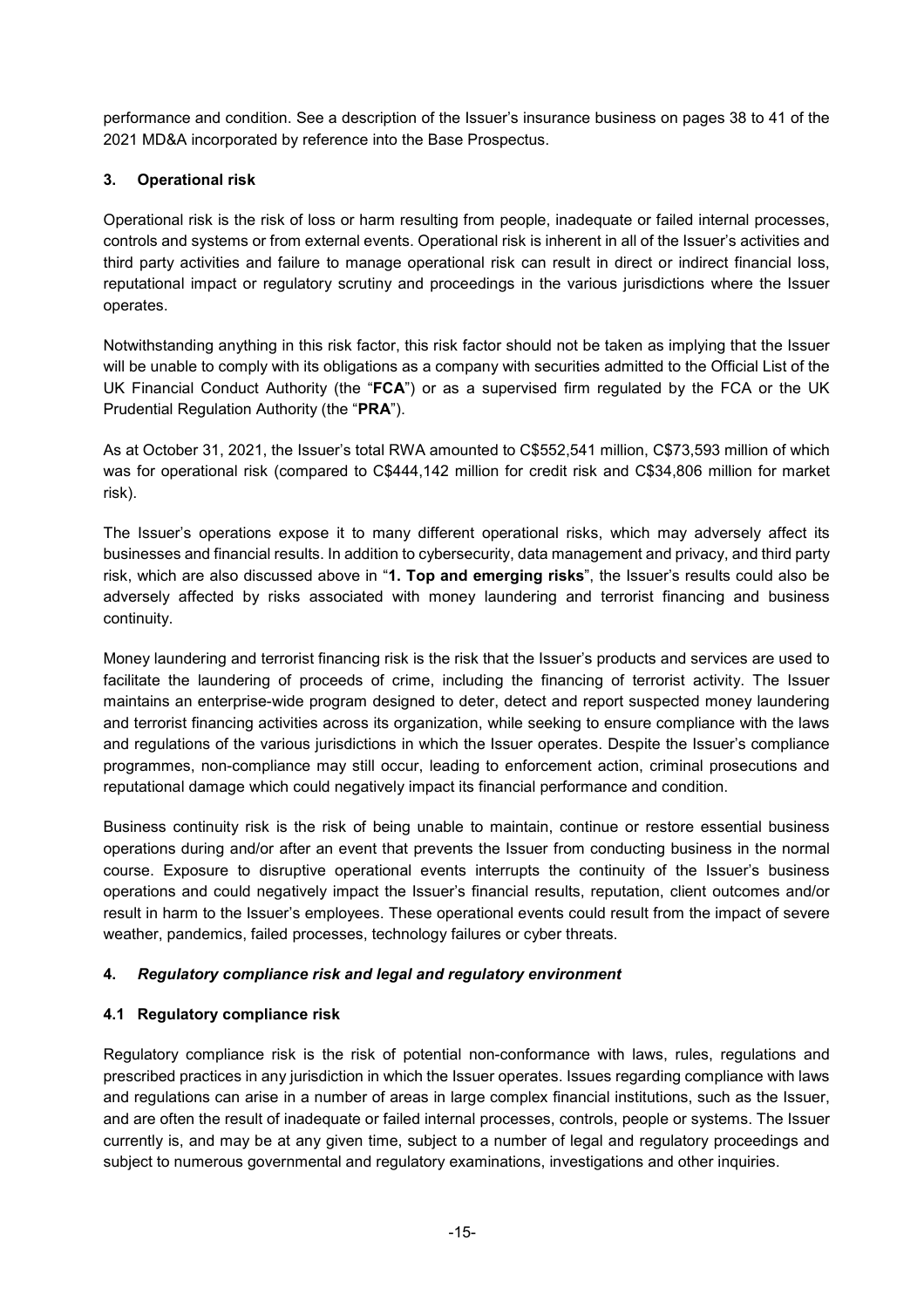performance and condition. See a description of the Issuer's insurance business on pages 38 to 41 of the 2021 MD&A incorporated by reference into the Base Prospectus.

# **3. Operational risk**

Operational risk is the risk of loss or harm resulting from people, inadequate or failed internal processes, controls and systems or from external events. Operational risk is inherent in all of the Issuer's activities and third party activities and failure to manage operational risk can result in direct or indirect financial loss, reputational impact or regulatory scrutiny and proceedings in the various jurisdictions where the Issuer operates.

Notwithstanding anything in this risk factor, this risk factor should not be taken as implying that the Issuer will be unable to comply with its obligations as a company with securities admitted to the Official List of the UK Financial Conduct Authority (the "**FCA**") or as a supervised firm regulated by the FCA or the UK Prudential Regulation Authority (the "**PRA**").

As at October 31, 2021, the Issuer's total RWA amounted to C\$552,541 million, C\$73,593 million of which was for operational risk (compared to C\$444,142 million for credit risk and C\$34,806 million for market risk).

The Issuer's operations expose it to many different operational risks, which may adversely affect its businesses and financial results. In addition to cybersecurity, data management and privacy, and third party risk, which are also discussed above in "**1. Top and emerging risks**", the Issuer's results could also be adversely affected by risks associated with money laundering and terrorist financing and business continuity.

Money laundering and terrorist financing risk is the risk that the Issuer's products and services are used to facilitate the laundering of proceeds of crime, including the financing of terrorist activity. The Issuer maintains an enterprise-wide program designed to deter, detect and report suspected money laundering and terrorist financing activities across its organization, while seeking to ensure compliance with the laws and regulations of the various jurisdictions in which the Issuer operates. Despite the Issuer's compliance programmes, non-compliance may still occur, leading to enforcement action, criminal prosecutions and reputational damage which could negatively impact its financial performance and condition.

Business continuity risk is the risk of being unable to maintain, continue or restore essential business operations during and/or after an event that prevents the Issuer from conducting business in the normal course. Exposure to disruptive operational events interrupts the continuity of the Issuer's business operations and could negatively impact the Issuer's financial results, reputation, client outcomes and/or result in harm to the Issuer's employees. These operational events could result from the impact of severe weather, pandemics, failed processes, technology failures or cyber threats.

# **4.** *Regulatory compliance risk and legal and regulatory environment*

# **4.1 Regulatory compliance risk**

Regulatory compliance risk is the risk of potential non-conformance with laws, rules, regulations and prescribed practices in any jurisdiction in which the Issuer operates. Issues regarding compliance with laws and regulations can arise in a number of areas in large complex financial institutions, such as the Issuer, and are often the result of inadequate or failed internal processes, controls, people or systems. The Issuer currently is, and may be at any given time, subject to a number of legal and regulatory proceedings and subject to numerous governmental and regulatory examinations, investigations and other inquiries.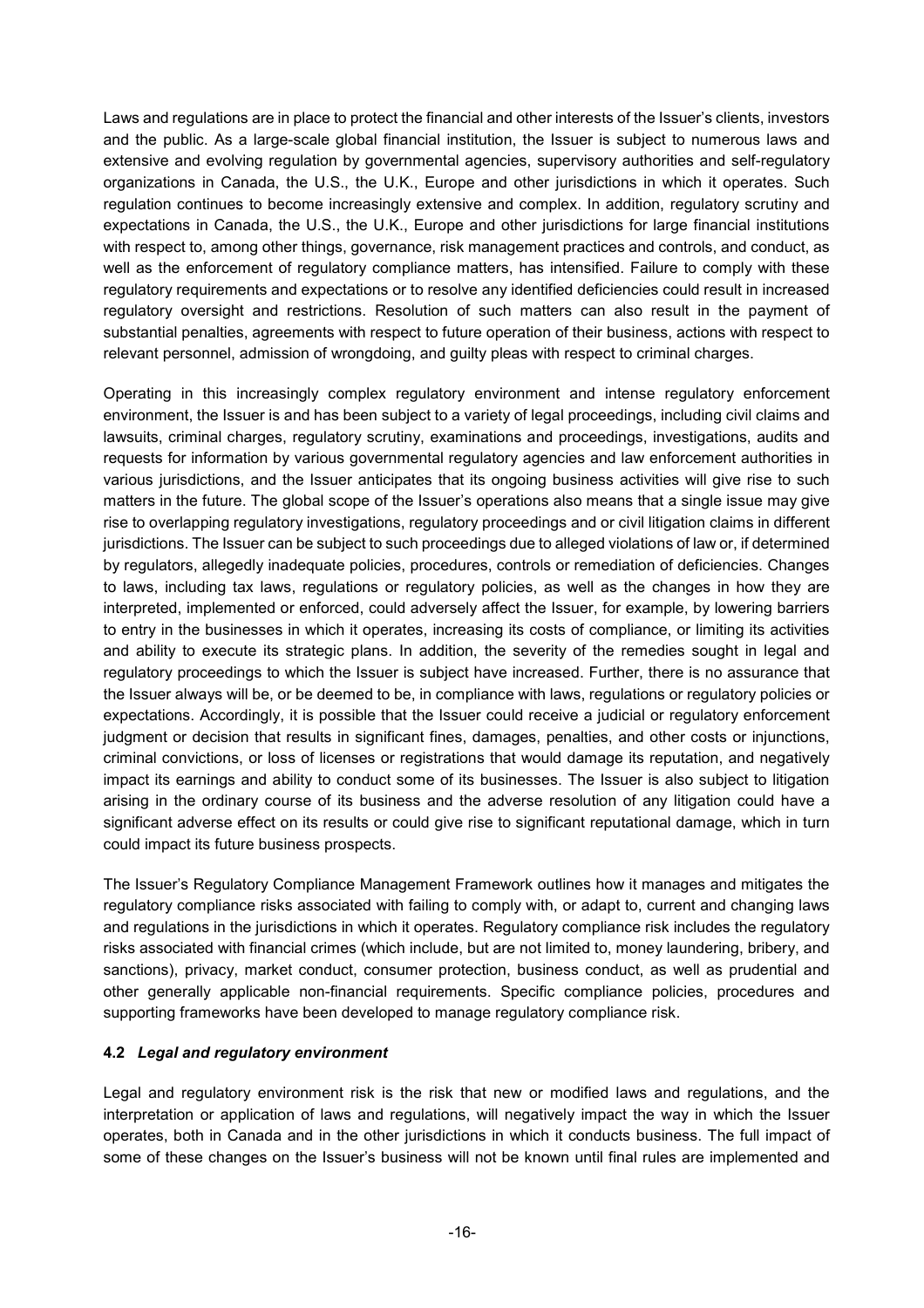Laws and regulations are in place to protect the financial and other interests of the Issuer's clients, investors and the public. As a large-scale global financial institution, the Issuer is subject to numerous laws and extensive and evolving regulation by governmental agencies, supervisory authorities and self-regulatory organizations in Canada, the U.S., the U.K., Europe and other jurisdictions in which it operates. Such regulation continues to become increasingly extensive and complex. In addition, regulatory scrutiny and expectations in Canada, the U.S., the U.K., Europe and other jurisdictions for large financial institutions with respect to, among other things, governance, risk management practices and controls, and conduct, as well as the enforcement of regulatory compliance matters, has intensified. Failure to comply with these regulatory requirements and expectations or to resolve any identified deficiencies could result in increased regulatory oversight and restrictions. Resolution of such matters can also result in the payment of substantial penalties, agreements with respect to future operation of their business, actions with respect to relevant personnel, admission of wrongdoing, and guilty pleas with respect to criminal charges.

Operating in this increasingly complex regulatory environment and intense regulatory enforcement environment, the Issuer is and has been subject to a variety of legal proceedings, including civil claims and lawsuits, criminal charges, regulatory scrutiny, examinations and proceedings, investigations, audits and requests for information by various governmental regulatory agencies and law enforcement authorities in various jurisdictions, and the Issuer anticipates that its ongoing business activities will give rise to such matters in the future. The global scope of the Issuer's operations also means that a single issue may give rise to overlapping regulatory investigations, regulatory proceedings and or civil litigation claims in different jurisdictions. The Issuer can be subject to such proceedings due to alleged violations of law or, if determined by regulators, allegedly inadequate policies, procedures, controls or remediation of deficiencies. Changes to laws, including tax laws, regulations or regulatory policies, as well as the changes in how they are interpreted, implemented or enforced, could adversely affect the Issuer, for example, by lowering barriers to entry in the businesses in which it operates, increasing its costs of compliance, or limiting its activities and ability to execute its strategic plans. In addition, the severity of the remedies sought in legal and regulatory proceedings to which the Issuer is subject have increased. Further, there is no assurance that the Issuer always will be, or be deemed to be, in compliance with laws, regulations or regulatory policies or expectations. Accordingly, it is possible that the Issuer could receive a judicial or regulatory enforcement judgment or decision that results in significant fines, damages, penalties, and other costs or injunctions, criminal convictions, or loss of licenses or registrations that would damage its reputation, and negatively impact its earnings and ability to conduct some of its businesses. The Issuer is also subject to litigation arising in the ordinary course of its business and the adverse resolution of any litigation could have a significant adverse effect on its results or could give rise to significant reputational damage, which in turn could impact its future business prospects.

The Issuer's Regulatory Compliance Management Framework outlines how it manages and mitigates the regulatory compliance risks associated with failing to comply with, or adapt to, current and changing laws and regulations in the jurisdictions in which it operates. Regulatory compliance risk includes the regulatory risks associated with financial crimes (which include, but are not limited to, money laundering, bribery, and sanctions), privacy, market conduct, consumer protection, business conduct, as well as prudential and other generally applicable non-financial requirements. Specific compliance policies, procedures and supporting frameworks have been developed to manage regulatory compliance risk.

#### **4.2** *Legal and regulatory environment*

Legal and regulatory environment risk is the risk that new or modified laws and regulations, and the interpretation or application of laws and regulations, will negatively impact the way in which the Issuer operates, both in Canada and in the other jurisdictions in which it conducts business. The full impact of some of these changes on the Issuer's business will not be known until final rules are implemented and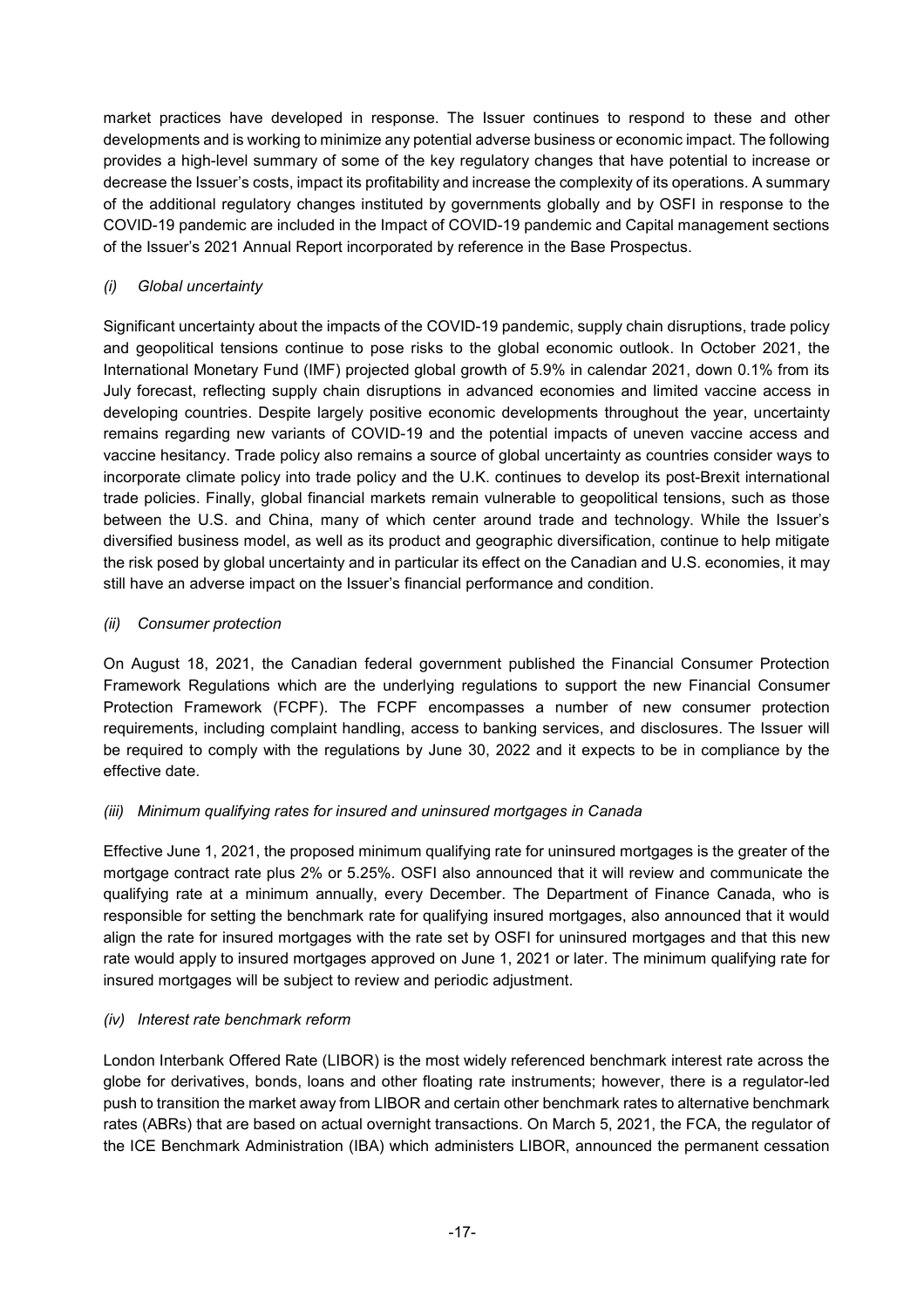market practices have developed in response. The Issuer continues to respond to these and other developments and is working to minimize any potential adverse business or economic impact. The following provides a high-level summary of some of the key regulatory changes that have potential to increase or decrease the Issuer's costs, impact its profitability and increase the complexity of its operations. A summary of the additional regulatory changes instituted by governments globally and by OSFI in response to the COVID-19 pandemic are included in the Impact of COVID-19 pandemic and Capital management sections of the Issuer's 2021 Annual Report incorporated by reference in the Base Prospectus.

# *(i) Global uncertainty*

Significant uncertainty about the impacts of the COVID-19 pandemic, supply chain disruptions, trade policy and geopolitical tensions continue to pose risks to the global economic outlook. In October 2021, the International Monetary Fund (IMF) projected global growth of 5.9% in calendar 2021, down 0.1% from its July forecast, reflecting supply chain disruptions in advanced economies and limited vaccine access in developing countries. Despite largely positive economic developments throughout the year, uncertainty remains regarding new variants of COVID-19 and the potential impacts of uneven vaccine access and vaccine hesitancy. Trade policy also remains a source of global uncertainty as countries consider ways to incorporate climate policy into trade policy and the U.K. continues to develop its post-Brexit international trade policies. Finally, global financial markets remain vulnerable to geopolitical tensions, such as those between the U.S. and China, many of which center around trade and technology. While the Issuer's diversified business model, as well as its product and geographic diversification, continue to help mitigate the risk posed by global uncertainty and in particular its effect on the Canadian and U.S. economies, it may still have an adverse impact on the Issuer's financial performance and condition.

# *(ii) Consumer protection*

On August 18, 2021, the Canadian federal government published the Financial Consumer Protection Framework Regulations which are the underlying regulations to support the new Financial Consumer Protection Framework (FCPF). The FCPF encompasses a number of new consumer protection requirements, including complaint handling, access to banking services, and disclosures. The Issuer will be required to comply with the regulations by June 30, 2022 and it expects to be in compliance by the effective date.

# *(iii) Minimum qualifying rates for insured and uninsured mortgages in Canada*

Effective June 1, 2021, the proposed minimum qualifying rate for uninsured mortgages is the greater of the mortgage contract rate plus 2% or 5.25%. OSFI also announced that it will review and communicate the qualifying rate at a minimum annually, every December. The Department of Finance Canada, who is responsible for setting the benchmark rate for qualifying insured mortgages, also announced that it would align the rate for insured mortgages with the rate set by OSFI for uninsured mortgages and that this new rate would apply to insured mortgages approved on June 1, 2021 or later. The minimum qualifying rate for insured mortgages will be subject to review and periodic adjustment.

# *(iv) Interest rate benchmark reform*

London Interbank Offered Rate (LIBOR) is the most widely referenced benchmark interest rate across the globe for derivatives, bonds, loans and other floating rate instruments; however, there is a regulator-led push to transition the market away from LIBOR and certain other benchmark rates to alternative benchmark rates (ABRs) that are based on actual overnight transactions. On March 5, 2021, the FCA, the regulator of the ICE Benchmark Administration (IBA) which administers LIBOR, announced the permanent cessation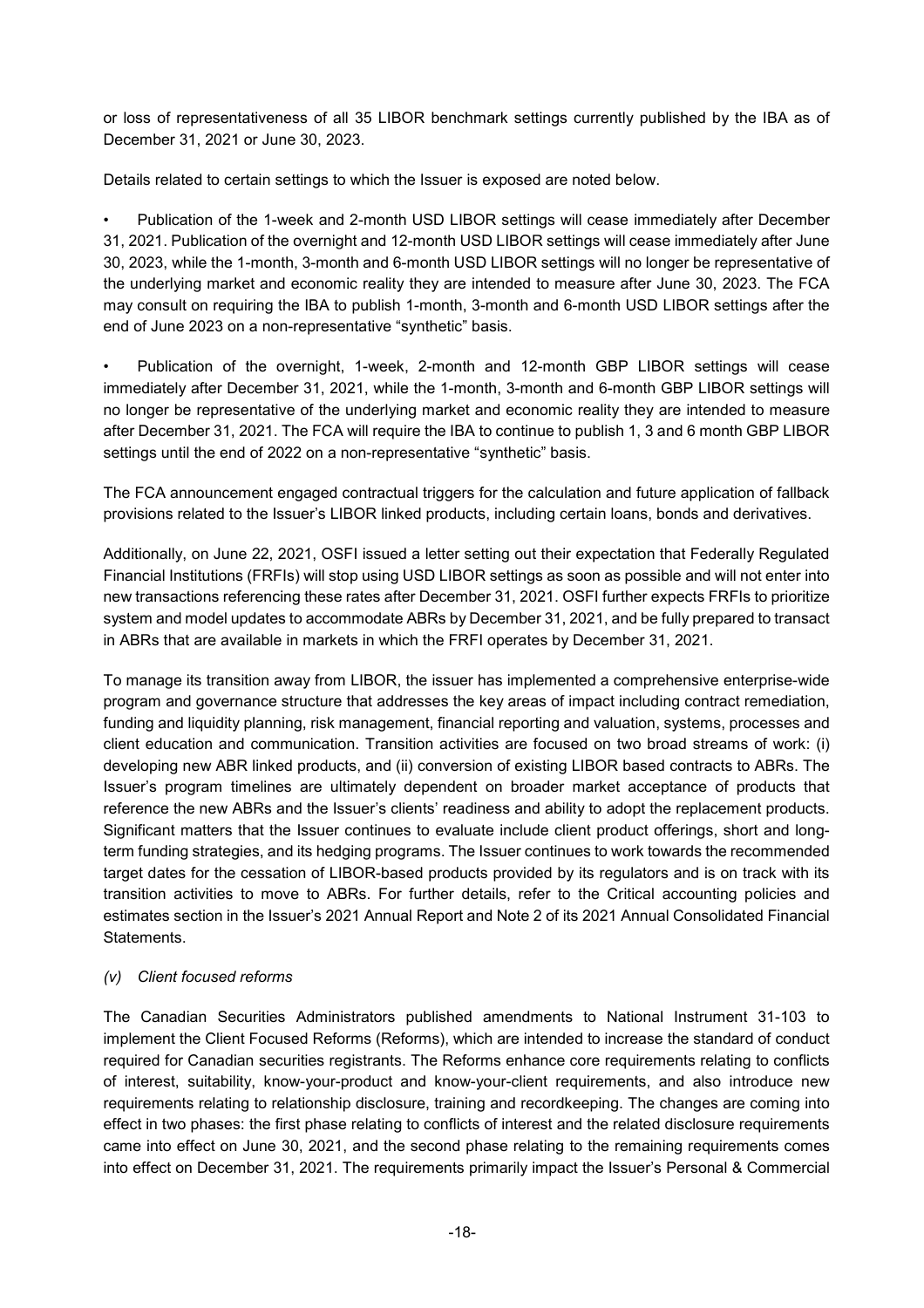or loss of representativeness of all 35 LIBOR benchmark settings currently published by the IBA as of December 31, 2021 or June 30, 2023.

Details related to certain settings to which the Issuer is exposed are noted below.

• Publication of the 1-week and 2-month USD LIBOR settings will cease immediately after December 31, 2021. Publication of the overnight and 12-month USD LIBOR settings will cease immediately after June 30, 2023, while the 1-month, 3-month and 6-month USD LIBOR settings will no longer be representative of the underlying market and economic reality they are intended to measure after June 30, 2023. The FCA may consult on requiring the IBA to publish 1-month, 3-month and 6-month USD LIBOR settings after the end of June 2023 on a non-representative "synthetic" basis.

• Publication of the overnight, 1-week, 2-month and 12-month GBP LIBOR settings will cease immediately after December 31, 2021, while the 1-month, 3-month and 6-month GBP LIBOR settings will no longer be representative of the underlying market and economic reality they are intended to measure after December 31, 2021. The FCA will require the IBA to continue to publish 1, 3 and 6 month GBP LIBOR settings until the end of 2022 on a non-representative "synthetic" basis.

The FCA announcement engaged contractual triggers for the calculation and future application of fallback provisions related to the Issuer's LIBOR linked products, including certain loans, bonds and derivatives.

Additionally, on June 22, 2021, OSFI issued a letter setting out their expectation that Federally Regulated Financial Institutions (FRFIs) will stop using USD LIBOR settings as soon as possible and will not enter into new transactions referencing these rates after December 31, 2021. OSFI further expects FRFIs to prioritize system and model updates to accommodate ABRs by December 31, 2021, and be fully prepared to transact in ABRs that are available in markets in which the FRFI operates by December 31, 2021.

To manage its transition away from LIBOR, the issuer has implemented a comprehensive enterprise-wide program and governance structure that addresses the key areas of impact including contract remediation, funding and liquidity planning, risk management, financial reporting and valuation, systems, processes and client education and communication. Transition activities are focused on two broad streams of work: (i) developing new ABR linked products, and (ii) conversion of existing LIBOR based contracts to ABRs. The Issuer's program timelines are ultimately dependent on broader market acceptance of products that reference the new ABRs and the Issuer's clients' readiness and ability to adopt the replacement products. Significant matters that the Issuer continues to evaluate include client product offerings, short and longterm funding strategies, and its hedging programs. The Issuer continues to work towards the recommended target dates for the cessation of LIBOR-based products provided by its regulators and is on track with its transition activities to move to ABRs. For further details, refer to the Critical accounting policies and estimates section in the Issuer's 2021 Annual Report and Note 2 of its 2021 Annual Consolidated Financial Statements.

# *(v) Client focused reforms*

The Canadian Securities Administrators published amendments to National Instrument 31-103 to implement the Client Focused Reforms (Reforms), which are intended to increase the standard of conduct required for Canadian securities registrants. The Reforms enhance core requirements relating to conflicts of interest, suitability, know-your-product and know-your-client requirements, and also introduce new requirements relating to relationship disclosure, training and recordkeeping. The changes are coming into effect in two phases: the first phase relating to conflicts of interest and the related disclosure requirements came into effect on June 30, 2021, and the second phase relating to the remaining requirements comes into effect on December 31, 2021. The requirements primarily impact the Issuer's Personal & Commercial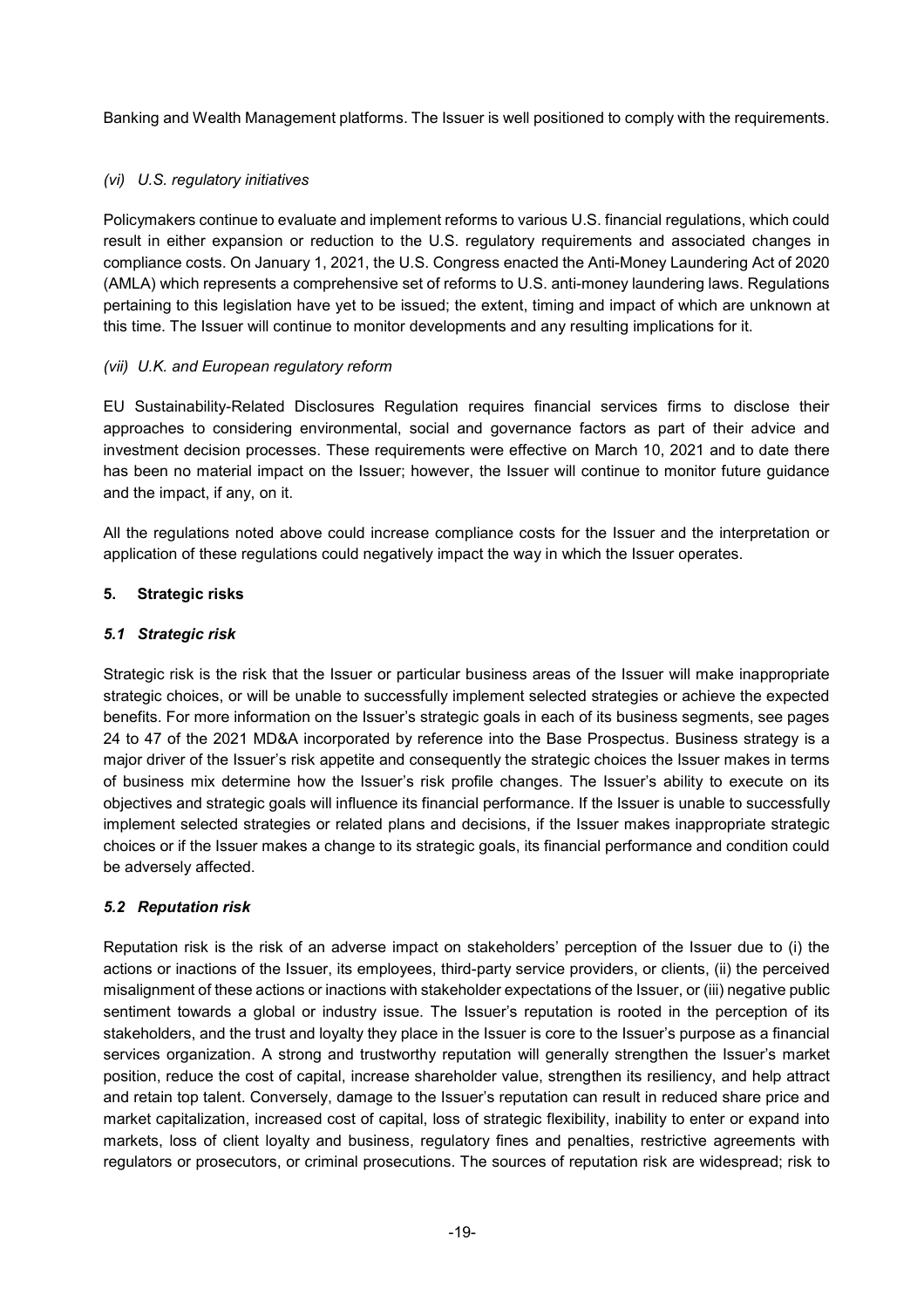Banking and Wealth Management platforms. The Issuer is well positioned to comply with the requirements.

# *(vi) U.S. regulatory initiatives*

Policymakers continue to evaluate and implement reforms to various U.S. financial regulations, which could result in either expansion or reduction to the U.S. regulatory requirements and associated changes in compliance costs. On January 1, 2021, the U.S. Congress enacted the Anti-Money Laundering Act of 2020 (AMLA) which represents a comprehensive set of reforms to U.S. anti-money laundering laws. Regulations pertaining to this legislation have yet to be issued; the extent, timing and impact of which are unknown at this time. The Issuer will continue to monitor developments and any resulting implications for it.

### *(vii) U.K. and European regulatory reform*

EU Sustainability-Related Disclosures Regulation requires financial services firms to disclose their approaches to considering environmental, social and governance factors as part of their advice and investment decision processes. These requirements were effective on March 10, 2021 and to date there has been no material impact on the Issuer; however, the Issuer will continue to monitor future guidance and the impact, if any, on it.

All the regulations noted above could increase compliance costs for the Issuer and the interpretation or application of these regulations could negatively impact the way in which the Issuer operates.

### **5. Strategic risks**

### *5.1 Strategic risk*

Strategic risk is the risk that the Issuer or particular business areas of the Issuer will make inappropriate strategic choices, or will be unable to successfully implement selected strategies or achieve the expected benefits. For more information on the Issuer's strategic goals in each of its business segments, see pages 24 to 47 of the 2021 MD&A incorporated by reference into the Base Prospectus. Business strategy is a major driver of the Issuer's risk appetite and consequently the strategic choices the Issuer makes in terms of business mix determine how the Issuer's risk profile changes. The Issuer's ability to execute on its objectives and strategic goals will influence its financial performance. If the Issuer is unable to successfully implement selected strategies or related plans and decisions, if the Issuer makes inappropriate strategic choices or if the Issuer makes a change to its strategic goals, its financial performance and condition could be adversely affected.

#### *5.2 Reputation risk*

Reputation risk is the risk of an adverse impact on stakeholders' perception of the Issuer due to (i) the actions or inactions of the Issuer, its employees, third-party service providers, or clients, (ii) the perceived misalignment of these actions or inactions with stakeholder expectations of the Issuer, or (iii) negative public sentiment towards a global or industry issue. The Issuer's reputation is rooted in the perception of its stakeholders, and the trust and loyalty they place in the Issuer is core to the Issuer's purpose as a financial services organization. A strong and trustworthy reputation will generally strengthen the Issuer's market position, reduce the cost of capital, increase shareholder value, strengthen its resiliency, and help attract and retain top talent. Conversely, damage to the Issuer's reputation can result in reduced share price and market capitalization, increased cost of capital, loss of strategic flexibility, inability to enter or expand into markets, loss of client loyalty and business, regulatory fines and penalties, restrictive agreements with regulators or prosecutors, or criminal prosecutions. The sources of reputation risk are widespread; risk to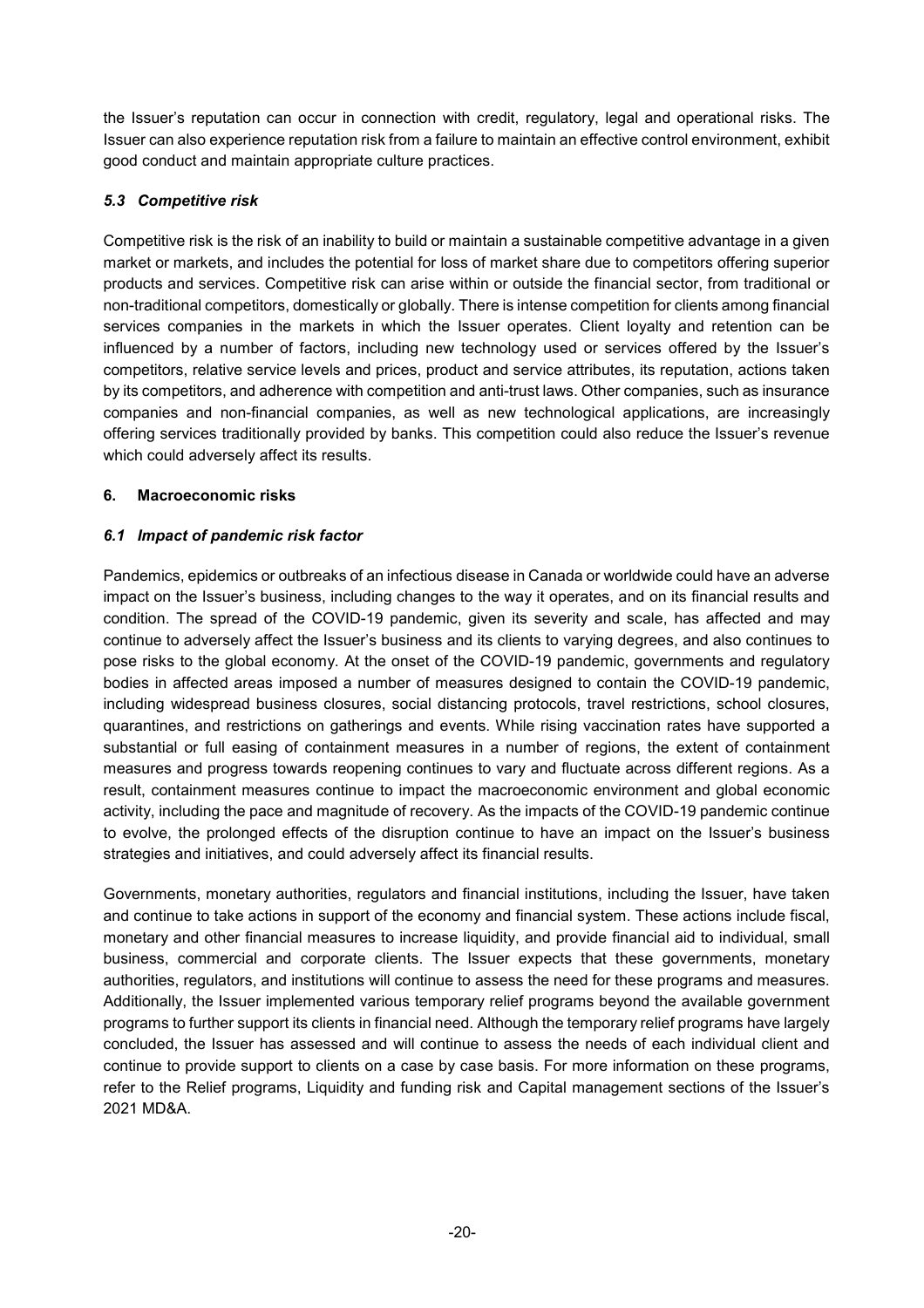the Issuer's reputation can occur in connection with credit, regulatory, legal and operational risks. The Issuer can also experience reputation risk from a failure to maintain an effective control environment, exhibit good conduct and maintain appropriate culture practices.

# *5.3 Competitive risk*

Competitive risk is the risk of an inability to build or maintain a sustainable competitive advantage in a given market or markets, and includes the potential for loss of market share due to competitors offering superior products and services. Competitive risk can arise within or outside the financial sector, from traditional or non-traditional competitors, domestically or globally. There is intense competition for clients among financial services companies in the markets in which the Issuer operates. Client loyalty and retention can be influenced by a number of factors, including new technology used or services offered by the Issuer's competitors, relative service levels and prices, product and service attributes, its reputation, actions taken by its competitors, and adherence with competition and anti-trust laws. Other companies, such as insurance companies and non-financial companies, as well as new technological applications, are increasingly offering services traditionally provided by banks. This competition could also reduce the Issuer's revenue which could adversely affect its results.

# **6. Macroeconomic risks**

# *6.1 Impact of pandemic risk factor*

Pandemics, epidemics or outbreaks of an infectious disease in Canada or worldwide could have an adverse impact on the Issuer's business, including changes to the way it operates, and on its financial results and condition. The spread of the COVID-19 pandemic, given its severity and scale, has affected and may continue to adversely affect the Issuer's business and its clients to varying degrees, and also continues to pose risks to the global economy. At the onset of the COVID-19 pandemic, governments and regulatory bodies in affected areas imposed a number of measures designed to contain the COVID-19 pandemic, including widespread business closures, social distancing protocols, travel restrictions, school closures, quarantines, and restrictions on gatherings and events. While rising vaccination rates have supported a substantial or full easing of containment measures in a number of regions, the extent of containment measures and progress towards reopening continues to vary and fluctuate across different regions. As a result, containment measures continue to impact the macroeconomic environment and global economic activity, including the pace and magnitude of recovery. As the impacts of the COVID-19 pandemic continue to evolve, the prolonged effects of the disruption continue to have an impact on the Issuer's business strategies and initiatives, and could adversely affect its financial results.

Governments, monetary authorities, regulators and financial institutions, including the Issuer, have taken and continue to take actions in support of the economy and financial system. These actions include fiscal, monetary and other financial measures to increase liquidity, and provide financial aid to individual, small business, commercial and corporate clients. The Issuer expects that these governments, monetary authorities, regulators, and institutions will continue to assess the need for these programs and measures. Additionally, the Issuer implemented various temporary relief programs beyond the available government programs to further support its clients in financial need. Although the temporary relief programs have largely concluded, the Issuer has assessed and will continue to assess the needs of each individual client and continue to provide support to clients on a case by case basis. For more information on these programs, refer to the Relief programs, Liquidity and funding risk and Capital management sections of the Issuer's 2021 MD&A.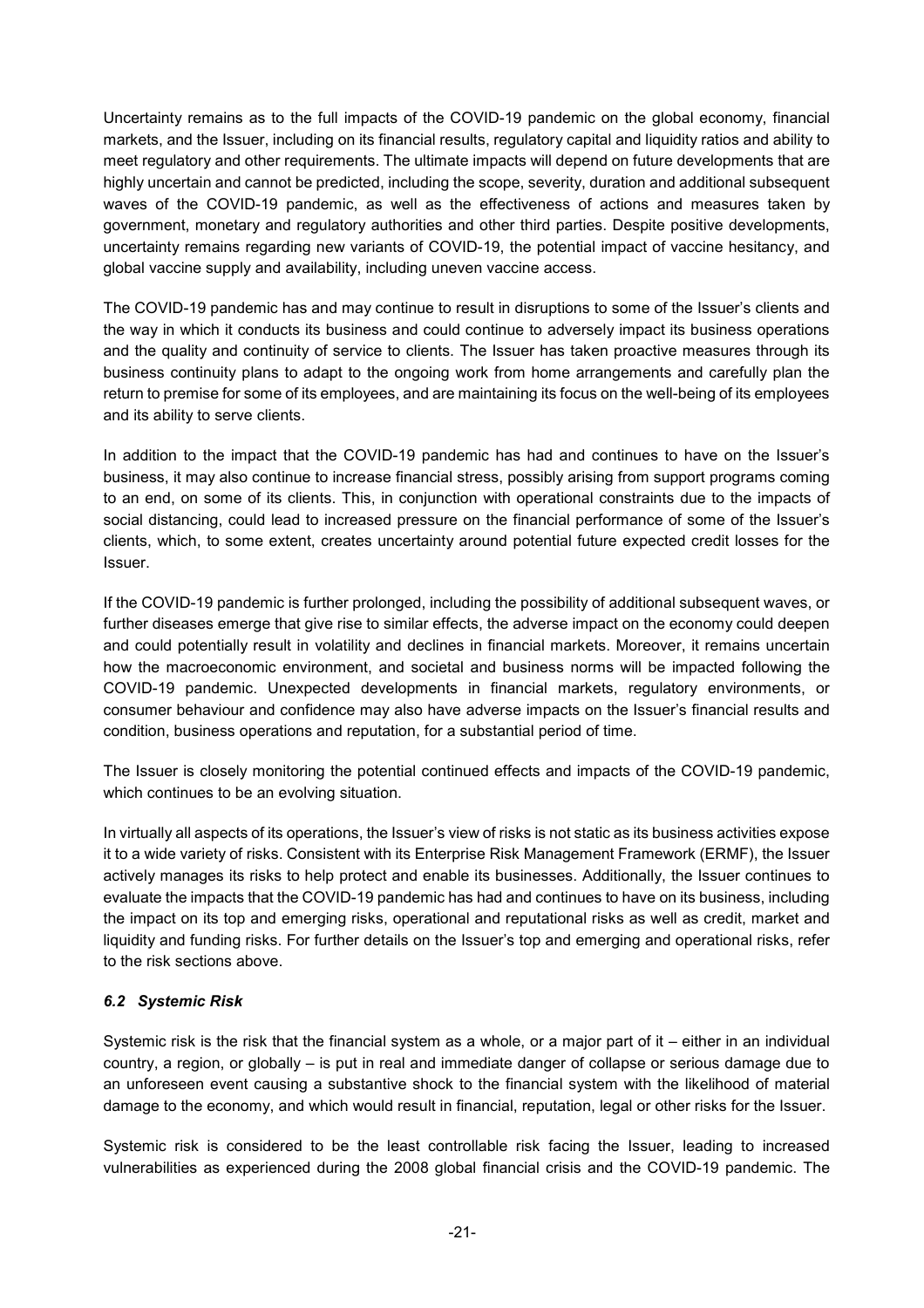Uncertainty remains as to the full impacts of the COVID-19 pandemic on the global economy, financial markets, and the Issuer, including on its financial results, regulatory capital and liquidity ratios and ability to meet regulatory and other requirements. The ultimate impacts will depend on future developments that are highly uncertain and cannot be predicted, including the scope, severity, duration and additional subsequent waves of the COVID-19 pandemic, as well as the effectiveness of actions and measures taken by government, monetary and regulatory authorities and other third parties. Despite positive developments, uncertainty remains regarding new variants of COVID-19, the potential impact of vaccine hesitancy, and global vaccine supply and availability, including uneven vaccine access.

The COVID-19 pandemic has and may continue to result in disruptions to some of the Issuer's clients and the way in which it conducts its business and could continue to adversely impact its business operations and the quality and continuity of service to clients. The Issuer has taken proactive measures through its business continuity plans to adapt to the ongoing work from home arrangements and carefully plan the return to premise for some of its employees, and are maintaining its focus on the well-being of its employees and its ability to serve clients.

In addition to the impact that the COVID-19 pandemic has had and continues to have on the Issuer's business, it may also continue to increase financial stress, possibly arising from support programs coming to an end, on some of its clients. This, in conjunction with operational constraints due to the impacts of social distancing, could lead to increased pressure on the financial performance of some of the Issuer's clients, which, to some extent, creates uncertainty around potential future expected credit losses for the Issuer.

If the COVID-19 pandemic is further prolonged, including the possibility of additional subsequent waves, or further diseases emerge that give rise to similar effects, the adverse impact on the economy could deepen and could potentially result in volatility and declines in financial markets. Moreover, it remains uncertain how the macroeconomic environment, and societal and business norms will be impacted following the COVID-19 pandemic. Unexpected developments in financial markets, regulatory environments, or consumer behaviour and confidence may also have adverse impacts on the Issuer's financial results and condition, business operations and reputation, for a substantial period of time.

The Issuer is closely monitoring the potential continued effects and impacts of the COVID-19 pandemic, which continues to be an evolving situation.

In virtually all aspects of its operations, the Issuer's view of risks is not static as its business activities expose it to a wide variety of risks. Consistent with its Enterprise Risk Management Framework (ERMF), the Issuer actively manages its risks to help protect and enable its businesses. Additionally, the Issuer continues to evaluate the impacts that the COVID-19 pandemic has had and continues to have on its business, including the impact on its top and emerging risks, operational and reputational risks as well as credit, market and liquidity and funding risks. For further details on the Issuer's top and emerging and operational risks, refer to the risk sections above.

# *6.2 Systemic Risk*

Systemic risk is the risk that the financial system as a whole, or a major part of it – either in an individual country, a region, or globally – is put in real and immediate danger of collapse or serious damage due to an unforeseen event causing a substantive shock to the financial system with the likelihood of material damage to the economy, and which would result in financial, reputation, legal or other risks for the Issuer.

Systemic risk is considered to be the least controllable risk facing the Issuer, leading to increased vulnerabilities as experienced during the 2008 global financial crisis and the COVID-19 pandemic. The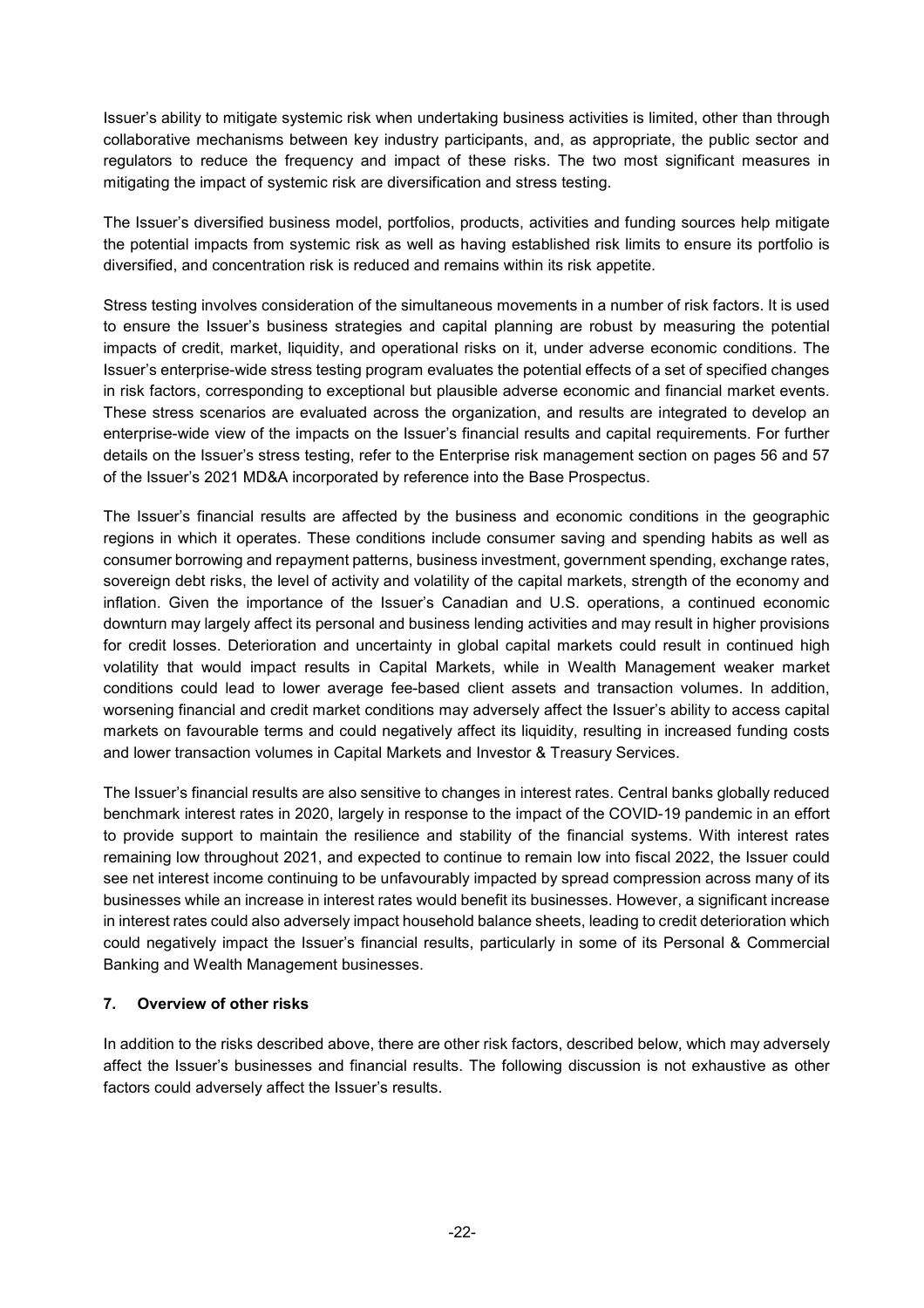Issuer's ability to mitigate systemic risk when undertaking business activities is limited, other than through collaborative mechanisms between key industry participants, and, as appropriate, the public sector and regulators to reduce the frequency and impact of these risks. The two most significant measures in mitigating the impact of systemic risk are diversification and stress testing.

The Issuer's diversified business model, portfolios, products, activities and funding sources help mitigate the potential impacts from systemic risk as well as having established risk limits to ensure its portfolio is diversified, and concentration risk is reduced and remains within its risk appetite.

Stress testing involves consideration of the simultaneous movements in a number of risk factors. It is used to ensure the Issuer's business strategies and capital planning are robust by measuring the potential impacts of credit, market, liquidity, and operational risks on it, under adverse economic conditions. The Issuer's enterprise-wide stress testing program evaluates the potential effects of a set of specified changes in risk factors, corresponding to exceptional but plausible adverse economic and financial market events. These stress scenarios are evaluated across the organization, and results are integrated to develop an enterprise-wide view of the impacts on the Issuer's financial results and capital requirements. For further details on the Issuer's stress testing, refer to the Enterprise risk management section on pages 56 and 57 of the Issuer's 2021 MD&A incorporated by reference into the Base Prospectus.

The Issuer's financial results are affected by the business and economic conditions in the geographic regions in which it operates. These conditions include consumer saving and spending habits as well as consumer borrowing and repayment patterns, business investment, government spending, exchange rates, sovereign debt risks, the level of activity and volatility of the capital markets, strength of the economy and inflation. Given the importance of the Issuer's Canadian and U.S. operations, a continued economic downturn may largely affect its personal and business lending activities and may result in higher provisions for credit losses. Deterioration and uncertainty in global capital markets could result in continued high volatility that would impact results in Capital Markets, while in Wealth Management weaker market conditions could lead to lower average fee-based client assets and transaction volumes. In addition, worsening financial and credit market conditions may adversely affect the Issuer's ability to access capital markets on favourable terms and could negatively affect its liquidity, resulting in increased funding costs and lower transaction volumes in Capital Markets and Investor & Treasury Services.

The Issuer's financial results are also sensitive to changes in interest rates. Central banks globally reduced benchmark interest rates in 2020, largely in response to the impact of the COVID-19 pandemic in an effort to provide support to maintain the resilience and stability of the financial systems. With interest rates remaining low throughout 2021, and expected to continue to remain low into fiscal 2022, the Issuer could see net interest income continuing to be unfavourably impacted by spread compression across many of its businesses while an increase in interest rates would benefit its businesses. However, a significant increase in interest rates could also adversely impact household balance sheets, leading to credit deterioration which could negatively impact the Issuer's financial results, particularly in some of its Personal & Commercial Banking and Wealth Management businesses.

# **7. Overview of other risks**

In addition to the risks described above, there are other risk factors, described below, which may adversely affect the Issuer's businesses and financial results. The following discussion is not exhaustive as other factors could adversely affect the Issuer's results.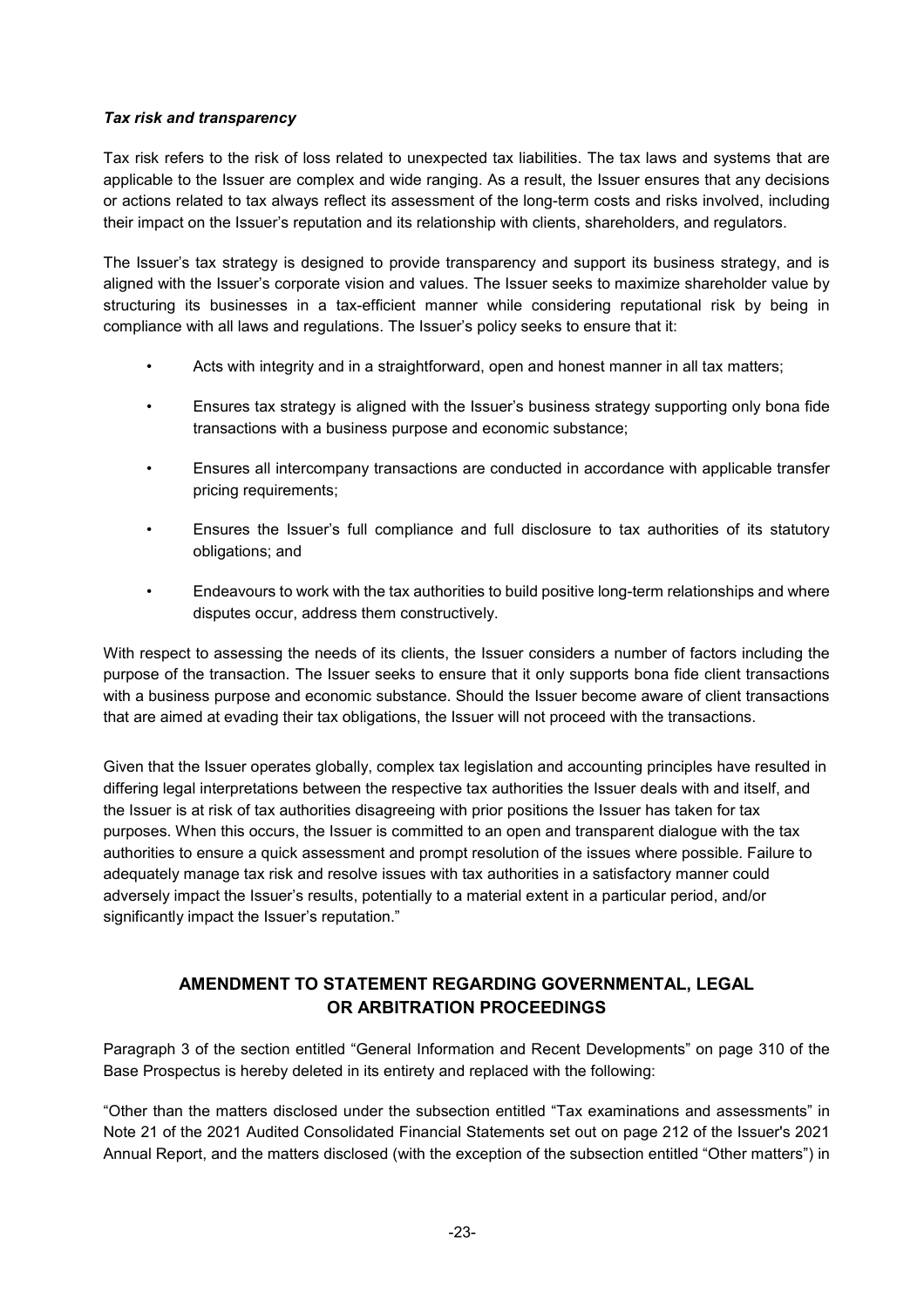### *Tax risk and transparency*

Tax risk refers to the risk of loss related to unexpected tax liabilities. The tax laws and systems that are applicable to the Issuer are complex and wide ranging. As a result, the Issuer ensures that any decisions or actions related to tax always reflect its assessment of the long-term costs and risks involved, including their impact on the Issuer's reputation and its relationship with clients, shareholders, and regulators.

The Issuer's tax strategy is designed to provide transparency and support its business strategy, and is aligned with the Issuer's corporate vision and values. The Issuer seeks to maximize shareholder value by structuring its businesses in a tax-efficient manner while considering reputational risk by being in compliance with all laws and regulations. The Issuer's policy seeks to ensure that it:

- Acts with integrity and in a straightforward, open and honest manner in all tax matters;
- Ensures tax strategy is aligned with the Issuer's business strategy supporting only bona fide transactions with a business purpose and economic substance;
- Ensures all intercompany transactions are conducted in accordance with applicable transfer pricing requirements;
- Ensures the Issuer's full compliance and full disclosure to tax authorities of its statutory obligations; and
- Endeavours to work with the tax authorities to build positive long-term relationships and where disputes occur, address them constructively.

With respect to assessing the needs of its clients, the Issuer considers a number of factors including the purpose of the transaction. The Issuer seeks to ensure that it only supports bona fide client transactions with a business purpose and economic substance. Should the Issuer become aware of client transactions that are aimed at evading their tax obligations, the Issuer will not proceed with the transactions.

Given that the Issuer operates globally, complex tax legislation and accounting principles have resulted in differing legal interpretations between the respective tax authorities the Issuer deals with and itself, and the Issuer is at risk of tax authorities disagreeing with prior positions the Issuer has taken for tax purposes. When this occurs, the Issuer is committed to an open and transparent dialogue with the tax authorities to ensure a quick assessment and prompt resolution of the issues where possible. Failure to adequately manage tax risk and resolve issues with tax authorities in a satisfactory manner could adversely impact the Issuer's results, potentially to a material extent in a particular period, and/or significantly impact the Issuer's reputation."

# **AMENDMENT TO STATEMENT REGARDING GOVERNMENTAL, LEGAL OR ARBITRATION PROCEEDINGS**

Paragraph 3 of the section entitled "General Information and Recent Developments" on page 310 of the Base Prospectus is hereby deleted in its entirety and replaced with the following:

"Other than the matters disclosed under the subsection entitled "Tax examinations and assessments" in Note 21 of the 2021 Audited Consolidated Financial Statements set out on page 212 of the Issuer's 2021 Annual Report, and the matters disclosed (with the exception of the subsection entitled "Other matters") in